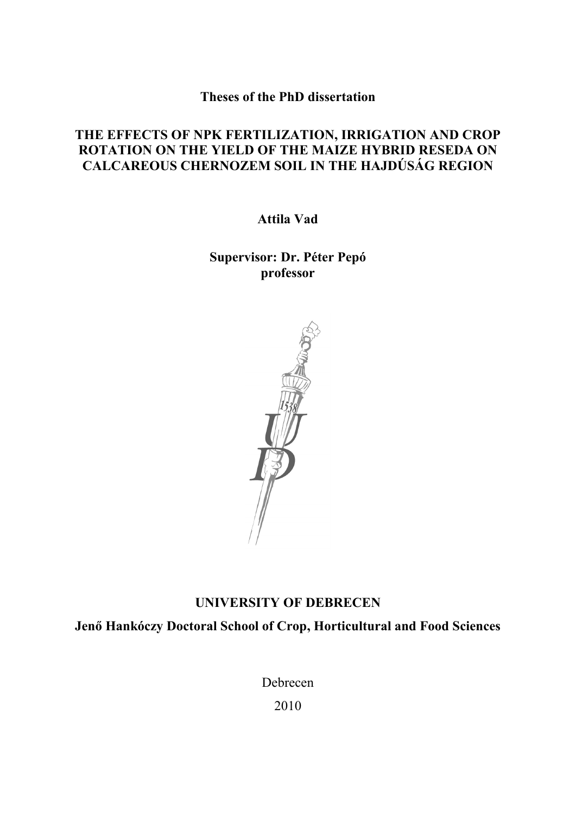**Theses of the PhD dissertation** 

# **THE EFFECTS OF NPK FERTILIZATION, IRRIGATION AND CROP ROTATION ON THE YIELD OF THE MAIZE HYBRID RESEDA ON CALCAREOUS CHERNOZEM SOIL IN THE HAJDÚSÁG REGION**

**Attila Vad**

**Supervisor: Dr. Péter Pepó professor** 



# **UNIVERSITY OF DEBRECEN**

**Jenő Hankóczy Doctoral School of Crop, Horticultural and Food Sciences** 

Debrecen

2010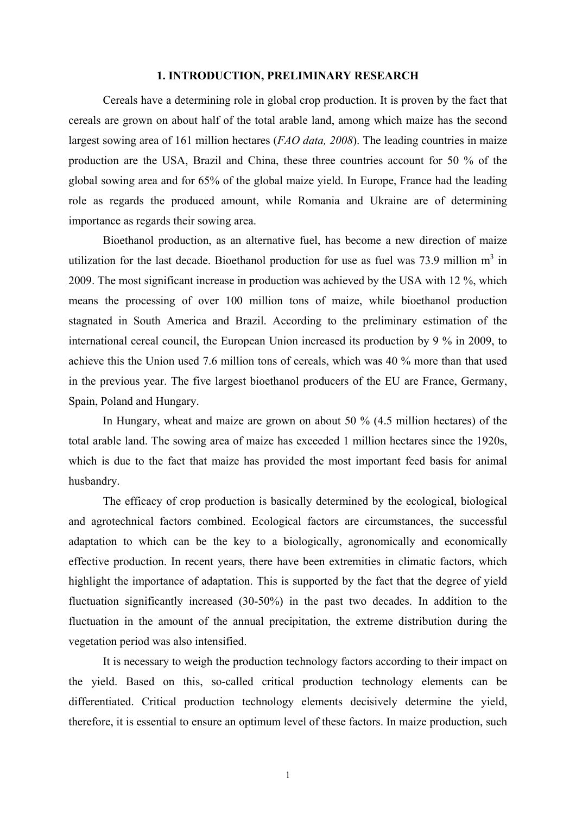### **1. INTRODUCTION, PRELIMINARY RESEARCH**

 Cereals have a determining role in global crop production. It is proven by the fact that cereals are grown on about half of the total arable land, among which maize has the second largest sowing area of 161 million hectares (*FAO data, 2008*). The leading countries in maize production are the USA, Brazil and China, these three countries account for 50 % of the global sowing area and for 65% of the global maize yield. In Europe, France had the leading role as regards the produced amount, while Romania and Ukraine are of determining importance as regards their sowing area.

Bioethanol production, as an alternative fuel, has become a new direction of maize utilization for the last decade. Bioethanol production for use as fuel was 73.9 million  $m<sup>3</sup>$  in 2009. The most significant increase in production was achieved by the USA with 12 %, which means the processing of over 100 million tons of maize, while bioethanol production stagnated in South America and Brazil. According to the preliminary estimation of the international cereal council, the European Union increased its production by 9 % in 2009, to achieve this the Union used 7.6 million tons of cereals, which was 40 % more than that used in the previous year. The five largest bioethanol producers of the EU are France, Germany, Spain, Poland and Hungary.

In Hungary, wheat and maize are grown on about 50 % (4.5 million hectares) of the total arable land. The sowing area of maize has exceeded 1 million hectares since the 1920s, which is due to the fact that maize has provided the most important feed basis for animal husbandry.

The efficacy of crop production is basically determined by the ecological, biological and agrotechnical factors combined. Ecological factors are circumstances, the successful adaptation to which can be the key to a biologically, agronomically and economically effective production. In recent years, there have been extremities in climatic factors, which highlight the importance of adaptation. This is supported by the fact that the degree of yield fluctuation significantly increased (30-50%) in the past two decades. In addition to the fluctuation in the amount of the annual precipitation, the extreme distribution during the vegetation period was also intensified.

It is necessary to weigh the production technology factors according to their impact on the yield. Based on this, so-called critical production technology elements can be differentiated. Critical production technology elements decisively determine the yield, therefore, it is essential to ensure an optimum level of these factors. In maize production, such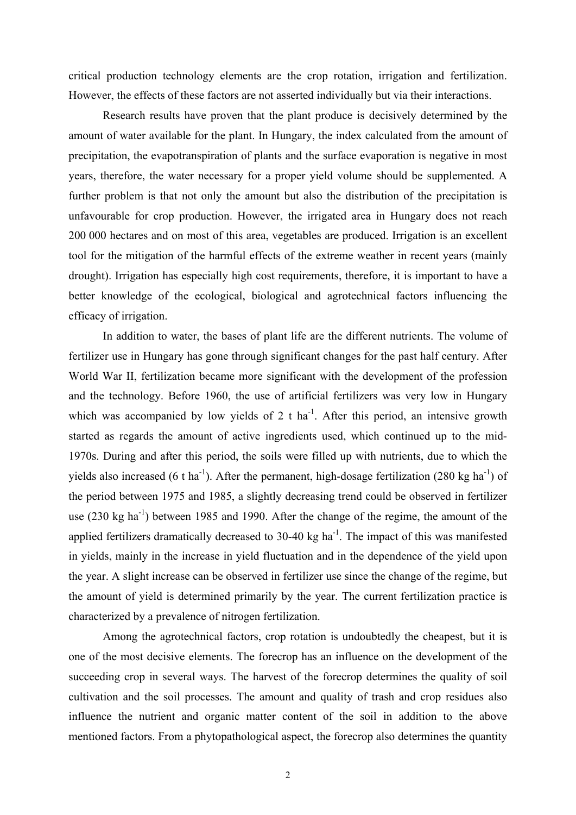critical production technology elements are the crop rotation, irrigation and fertilization. However, the effects of these factors are not asserted individually but via their interactions.

 Research results have proven that the plant produce is decisively determined by the amount of water available for the plant. In Hungary, the index calculated from the amount of precipitation, the evapotranspiration of plants and the surface evaporation is negative in most years, therefore, the water necessary for a proper yield volume should be supplemented. A further problem is that not only the amount but also the distribution of the precipitation is unfavourable for crop production. However, the irrigated area in Hungary does not reach 200 000 hectares and on most of this area, vegetables are produced. Irrigation is an excellent tool for the mitigation of the harmful effects of the extreme weather in recent years (mainly drought). Irrigation has especially high cost requirements, therefore, it is important to have a better knowledge of the ecological, biological and agrotechnical factors influencing the efficacy of irrigation.

In addition to water, the bases of plant life are the different nutrients. The volume of fertilizer use in Hungary has gone through significant changes for the past half century. After World War II, fertilization became more significant with the development of the profession and the technology. Before 1960, the use of artificial fertilizers was very low in Hungary which was accompanied by low yields of 2 t ha<sup>-1</sup>. After this period, an intensive growth started as regards the amount of active ingredients used, which continued up to the mid-1970s. During and after this period, the soils were filled up with nutrients, due to which the yields also increased (6 t ha<sup>-1</sup>). After the permanent, high-dosage fertilization (280 kg ha<sup>-1</sup>) of the period between 1975 and 1985, a slightly decreasing trend could be observed in fertilizer use  $(230 \text{ kg ha}^{-1})$  between 1985 and 1990. After the change of the regime, the amount of the applied fertilizers dramatically decreased to  $30-40 \text{ kg } \text{ha}^{-1}$ . The impact of this was manifested in yields, mainly in the increase in yield fluctuation and in the dependence of the yield upon the year. A slight increase can be observed in fertilizer use since the change of the regime, but the amount of yield is determined primarily by the year. The current fertilization practice is characterized by a prevalence of nitrogen fertilization.

Among the agrotechnical factors, crop rotation is undoubtedly the cheapest, but it is one of the most decisive elements. The forecrop has an influence on the development of the succeeding crop in several ways. The harvest of the forecrop determines the quality of soil cultivation and the soil processes. The amount and quality of trash and crop residues also influence the nutrient and organic matter content of the soil in addition to the above mentioned factors. From a phytopathological aspect, the forecrop also determines the quantity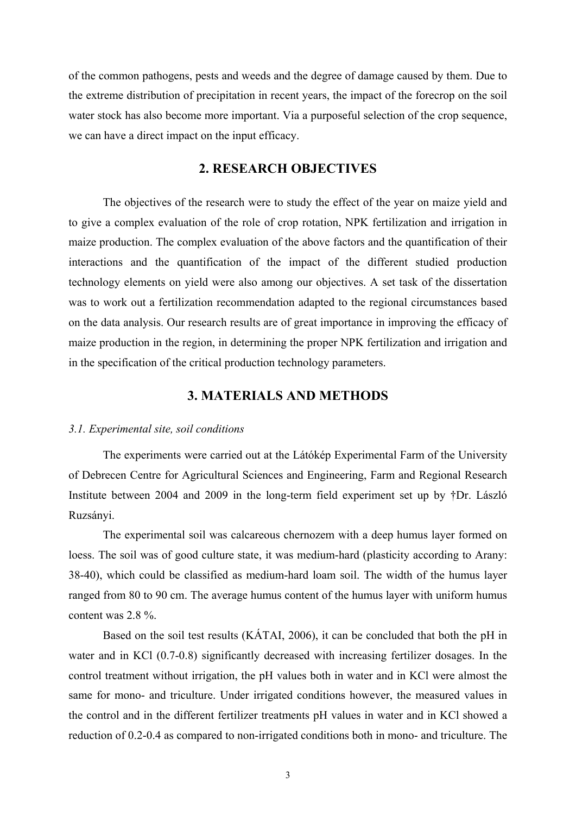of the common pathogens, pests and weeds and the degree of damage caused by them. Due to the extreme distribution of precipitation in recent years, the impact of the forecrop on the soil water stock has also become more important. Via a purposeful selection of the crop sequence, we can have a direct impact on the input efficacy.

## **2. RESEARCH OBJECTIVES**

The objectives of the research were to study the effect of the year on maize yield and to give a complex evaluation of the role of crop rotation, NPK fertilization and irrigation in maize production. The complex evaluation of the above factors and the quantification of their interactions and the quantification of the impact of the different studied production technology elements on yield were also among our objectives. A set task of the dissertation was to work out a fertilization recommendation adapted to the regional circumstances based on the data analysis. Our research results are of great importance in improving the efficacy of maize production in the region, in determining the proper NPK fertilization and irrigation and in the specification of the critical production technology parameters.

## **3. MATERIALS AND METHODS**

#### *3.1. Experimental site, soil conditions*

The experiments were carried out at the Látókép Experimental Farm of the University of Debrecen Centre for Agricultural Sciences and Engineering, Farm and Regional Research Institute between 2004 and 2009 in the long-term field experiment set up by †Dr. László Ruzsányi.

The experimental soil was calcareous chernozem with a deep humus layer formed on loess. The soil was of good culture state, it was medium-hard (plasticity according to Arany: 38-40), which could be classified as medium-hard loam soil. The width of the humus layer ranged from 80 to 90 cm. The average humus content of the humus layer with uniform humus content was 2.8 %.

Based on the soil test results (KÁTAI, 2006), it can be concluded that both the pH in water and in KCl (0.7-0.8) significantly decreased with increasing fertilizer dosages. In the control treatment without irrigation, the pH values both in water and in KCl were almost the same for mono- and triculture. Under irrigated conditions however, the measured values in the control and in the different fertilizer treatments pH values in water and in KCl showed a reduction of 0.2-0.4 as compared to non-irrigated conditions both in mono- and triculture. The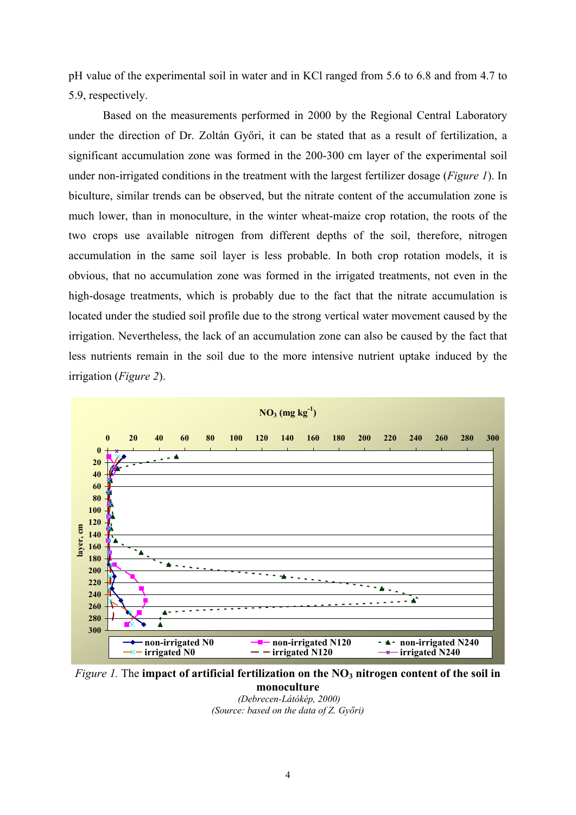pH value of the experimental soil in water and in KCl ranged from 5.6 to 6.8 and from 4.7 to 5.9, respectively.

Based on the measurements performed in 2000 by the Regional Central Laboratory under the direction of Dr. Zoltán Győri, it can be stated that as a result of fertilization, a significant accumulation zone was formed in the 200-300 cm layer of the experimental soil under non-irrigated conditions in the treatment with the largest fertilizer dosage (*Figure 1*). In biculture, similar trends can be observed, but the nitrate content of the accumulation zone is much lower, than in monoculture, in the winter wheat-maize crop rotation, the roots of the two crops use available nitrogen from different depths of the soil, therefore, nitrogen accumulation in the same soil layer is less probable. In both crop rotation models, it is obvious, that no accumulation zone was formed in the irrigated treatments, not even in the high-dosage treatments, which is probably due to the fact that the nitrate accumulation is located under the studied soil profile due to the strong vertical water movement caused by the irrigation. Nevertheless, the lack of an accumulation zone can also be caused by the fact that less nutrients remain in the soil due to the more intensive nutrient uptake induced by the irrigation (*Figure 2*).



*Figure 1.* The **impact of artificial fertilization on the NO<sub>3</sub> nitrogen content of the soil in monoculture**

 *(Debrecen-Látókép, 2000) (Source: based on the data of Z. Győri)*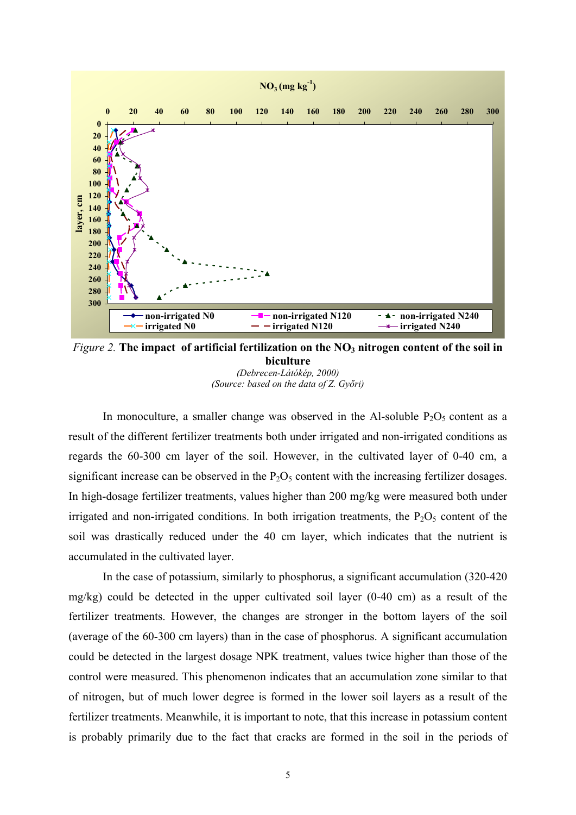

*Figure 2.* The impact of artificial fertilization on the NO<sub>3</sub> nitrogen content of the soil in **biculture** *(Debrecen-Látókép, 2000)*

*(Source: based on the data of Z. Győri)* 

In monoculture, a smaller change was observed in the Al-soluble  $P_2O_5$  content as a result of the different fertilizer treatments both under irrigated and non-irrigated conditions as regards the 60-300 cm layer of the soil. However, in the cultivated layer of 0-40 cm, a significant increase can be observed in the  $P_2O_5$  content with the increasing fertilizer dosages. In high-dosage fertilizer treatments, values higher than 200 mg/kg were measured both under irrigated and non-irrigated conditions. In both irrigation treatments, the  $P_2O_5$  content of the soil was drastically reduced under the 40 cm layer, which indicates that the nutrient is accumulated in the cultivated layer.

 In the case of potassium, similarly to phosphorus, a significant accumulation (320-420 mg/kg) could be detected in the upper cultivated soil layer (0-40 cm) as a result of the fertilizer treatments. However, the changes are stronger in the bottom layers of the soil (average of the 60-300 cm layers) than in the case of phosphorus. A significant accumulation could be detected in the largest dosage NPK treatment, values twice higher than those of the control were measured. This phenomenon indicates that an accumulation zone similar to that of nitrogen, but of much lower degree is formed in the lower soil layers as a result of the fertilizer treatments. Meanwhile, it is important to note, that this increase in potassium content is probably primarily due to the fact that cracks are formed in the soil in the periods of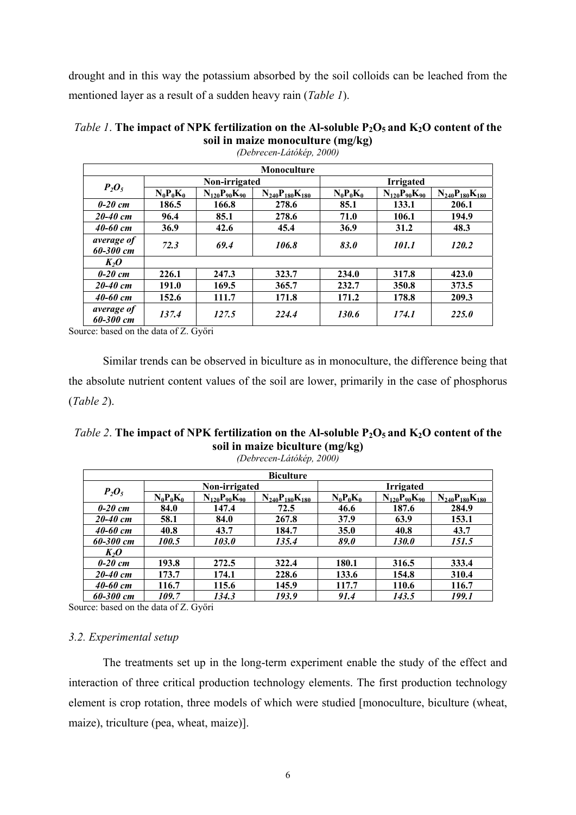drought and in this way the potassium absorbed by the soil colloids can be leached from the mentioned layer as a result of a sudden heavy rain (*Table 1*).

| <b>Monoculture</b>      |             |                       |                         |                  |                       |                         |  |
|-------------------------|-------------|-----------------------|-------------------------|------------------|-----------------------|-------------------------|--|
|                         |             | Non-irrigated         |                         | <b>Irrigated</b> |                       |                         |  |
| $P_2O_5$                | $N_0P_0K_0$ | $N_{120}P_{90}K_{90}$ | $N_{240}P_{180}K_{180}$ | $N_0P_0K_0$      | $N_{120}P_{90}K_{90}$ | $N_{240}P_{180}K_{180}$ |  |
| $0-20$ cm               | 186.5       | 166.8                 | 278.6                   | 85.1             | 133.1                 | 206.1                   |  |
| $20 - 40$ cm            | 96.4        | 85.1                  | 278.6                   | 71.0             | 106.1                 | 194.9                   |  |
| $40 - 60$ cm            | 36.9        | 42.6                  | 45.4                    | 36.9             | 31.2                  | 48.3                    |  |
| average of<br>60-300 cm | 72.3        | 69.4                  | 106.8                   | 83.0             | 101.1                 | 120.2                   |  |
| $K_2O$                  |             |                       |                         |                  |                       |                         |  |
| $0-20$ cm               | 226.1       | 247.3                 | 323.7                   | 234.0            | 317.8                 | 423.0                   |  |
| $20 - 40$ cm            | 191.0       | 169.5                 | 365.7                   | 232.7            | 350.8                 | 373.5                   |  |
| $40 - 60$ cm            | 152.6       | 111.7                 | 171.8                   | 171.2            | 178.8                 | 209.3                   |  |
| average of<br>60-300 cm | 137.4       | 127.5                 | 224.4                   | 130.6            | 174.1                 | 225.0                   |  |

**soil in maize monoculture (mg/kg)**  *(Debrecen-Látókép, 2000)* 

*Table 1*. The impact of NPK fertilization on the Al-soluble  $P_2O_5$  and  $K_2O$  content of the

Source: based on the data of Z. Győri

Similar trends can be observed in biculture as in monoculture, the difference being that the absolute nutrient content values of the soil are lower, primarily in the case of phosphorus (*Table 2*).

*Table 2.* The impact of NPK fertilization on the Al-soluble  $P_2O_5$  and  $K_2O$  content of the **soil in maize biculture (mg/kg)** 

| <b>Biculture</b> |             |                       |                         |                  |                       |                         |  |
|------------------|-------------|-----------------------|-------------------------|------------------|-----------------------|-------------------------|--|
| $P_2O_5$         |             | Non-irrigated         |                         | <b>Irrigated</b> |                       |                         |  |
|                  | $N_0P_0K_0$ | $N_{120}P_{90}K_{90}$ | $N_{240}P_{180}K_{180}$ | $N_0P_0K_0$      | $N_{120}P_{90}K_{90}$ | $N_{240}P_{180}K_{180}$ |  |
| $0-20$ cm        | 84.0        | 147.4                 | 72.5                    | 46.6             | 187.6                 | 284.9                   |  |
| $20 - 40$ cm     | 58.1        | 84.0                  | 267.8                   | 37.9             | 63.9                  | 153.1                   |  |
| $40 - 60$ cm     | 40.8        | 43.7                  | 184.7                   | 35.0             | 40.8                  | 43.7                    |  |
| 60-300 cm        | 100.5       | 103.0                 | 135.4                   | 89.0             | <b>130.0</b>          | 151.5                   |  |
| $K_2O$           |             |                       |                         |                  |                       |                         |  |
| $0-20$ cm        | 193.8       | 272.5                 | 322.4                   | 180.1            | 316.5                 | 333.4                   |  |
| $20 - 40$ cm     | 173.7       | 174.1                 | 228.6                   | 133.6            | 154.8                 | 310.4                   |  |
| $40 - 60$ cm     | 116.7       | 115.6                 | 145.9                   | 117.7            | 110.6                 | 116.7                   |  |
| 60-300 cm        | 109.7       | 134.3                 | 193.9                   | 91.4             | 143.5                 | 199.1                   |  |

*(Debrecen-Látókép, 2000)* 

Source: based on the data of Z. Győri

#### *3.2. Experimental setup*

The treatments set up in the long-term experiment enable the study of the effect and interaction of three critical production technology elements. The first production technology element is crop rotation, three models of which were studied [monoculture, biculture (wheat, maize), triculture (pea, wheat, maize)].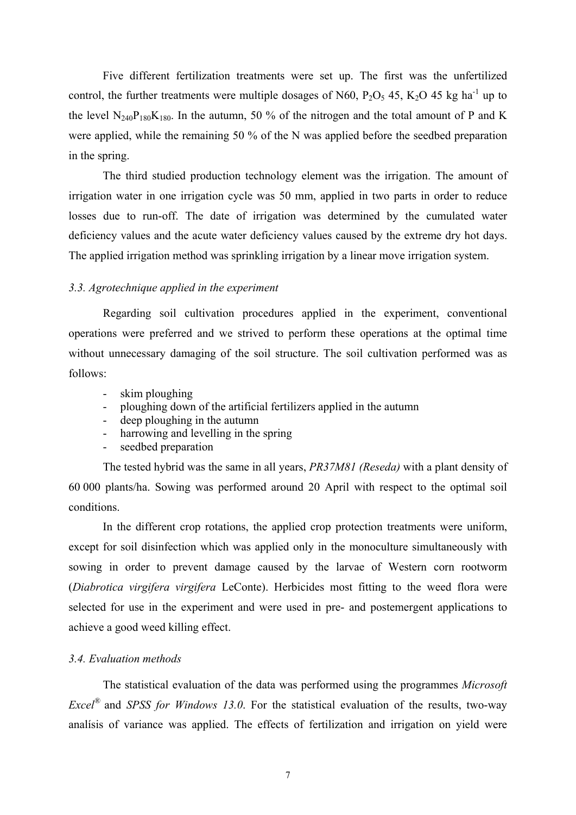Five different fertilization treatments were set up. The first was the unfertilized control, the further treatments were multiple dosages of N60,  $P_2O_5$  45, K<sub>2</sub>O 45 kg ha<sup>-1</sup> up to the level  $N_{240}P_{180}K_{180}$ . In the autumn, 50 % of the nitrogen and the total amount of P and K were applied, while the remaining 50 % of the N was applied before the seedbed preparation in the spring.

 The third studied production technology element was the irrigation. The amount of irrigation water in one irrigation cycle was 50 mm, applied in two parts in order to reduce losses due to run-off. The date of irrigation was determined by the cumulated water deficiency values and the acute water deficiency values caused by the extreme dry hot days. The applied irrigation method was sprinkling irrigation by a linear move irrigation system.

#### *3.3. Agrotechnique applied in the experiment*

Regarding soil cultivation procedures applied in the experiment, conventional operations were preferred and we strived to perform these operations at the optimal time without unnecessary damaging of the soil structure. The soil cultivation performed was as follows:

- skim ploughing
- ploughing down of the artificial fertilizers applied in the autumn
- deep ploughing in the autumn
- harrowing and levelling in the spring
- seedbed preparation

The tested hybrid was the same in all years, *PR37M81 (Reseda)* with a plant density of 60 000 plants/ha. Sowing was performed around 20 April with respect to the optimal soil conditions.

 In the different crop rotations, the applied crop protection treatments were uniform, except for soil disinfection which was applied only in the monoculture simultaneously with sowing in order to prevent damage caused by the larvae of Western corn rootworm (*Diabrotica virgifera virgifera* LeConte). Herbicides most fitting to the weed flora were selected for use in the experiment and were used in pre- and postemergent applications to achieve a good weed killing effect.

#### *3.4. Evaluation methods*

 The statistical evaluation of the data was performed using the programmes *Microsoft Excel®* and *SPSS for Windows 13.0*. For the statistical evaluation of the results, two-way analísis of variance was applied. The effects of fertilization and irrigation on yield were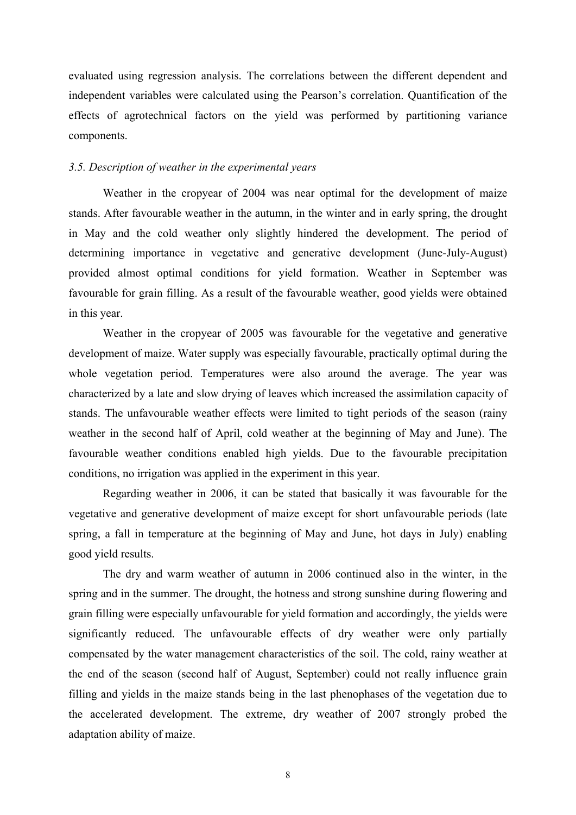evaluated using regression analysis. The correlations between the different dependent and independent variables were calculated using the Pearson's correlation. Quantification of the effects of agrotechnical factors on the yield was performed by partitioning variance components.

### *3.5. Description of weather in the experimental years*

 Weather in the cropyear of 2004 was near optimal for the development of maize stands. After favourable weather in the autumn, in the winter and in early spring, the drought in May and the cold weather only slightly hindered the development. The period of determining importance in vegetative and generative development (June-July-August) provided almost optimal conditions for yield formation. Weather in September was favourable for grain filling. As a result of the favourable weather, good yields were obtained in this year.

 Weather in the cropyear of 2005 was favourable for the vegetative and generative development of maize. Water supply was especially favourable, practically optimal during the whole vegetation period. Temperatures were also around the average. The year was characterized by a late and slow drying of leaves which increased the assimilation capacity of stands. The unfavourable weather effects were limited to tight periods of the season (rainy weather in the second half of April, cold weather at the beginning of May and June). The favourable weather conditions enabled high yields. Due to the favourable precipitation conditions, no irrigation was applied in the experiment in this year.

Regarding weather in 2006, it can be stated that basically it was favourable for the vegetative and generative development of maize except for short unfavourable periods (late spring, a fall in temperature at the beginning of May and June, hot days in July) enabling good yield results.

The dry and warm weather of autumn in 2006 continued also in the winter, in the spring and in the summer. The drought, the hotness and strong sunshine during flowering and grain filling were especially unfavourable for yield formation and accordingly, the yields were significantly reduced. The unfavourable effects of dry weather were only partially compensated by the water management characteristics of the soil. The cold, rainy weather at the end of the season (second half of August, September) could not really influence grain filling and yields in the maize stands being in the last phenophases of the vegetation due to the accelerated development. The extreme, dry weather of 2007 strongly probed the adaptation ability of maize.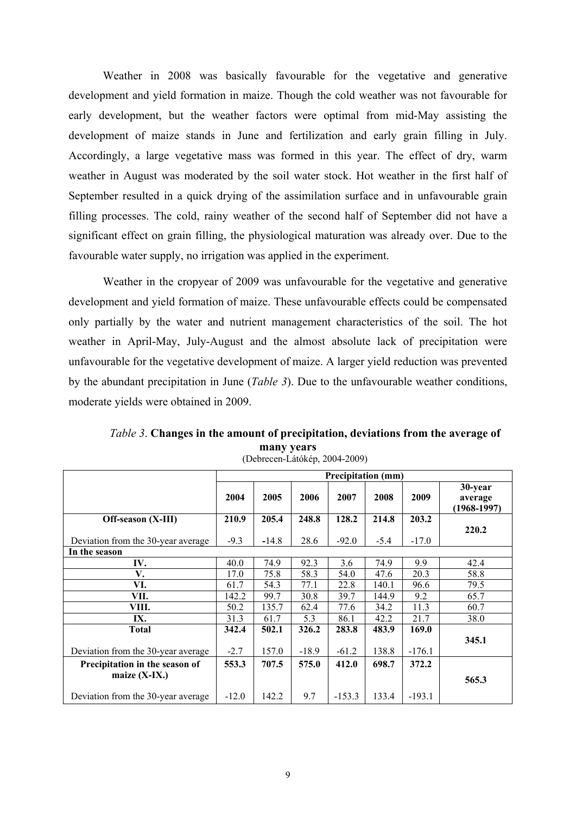Weather in 2008 was basically favourable for the vegetative and generative development and yield formation in maize. Though the cold weather was not favourable for early development, but the weather factors were optimal from mid-May assisting the development of maize stands in June and fertilization and early grain filling in July. Accordingly, a large vegetative mass was formed in this year. The effect of dry, warm weather in August was moderated by the soil water stock. Hot weather in the first half of September resulted in a quick drying of the assimilation surface and in unfavourable grain filling processes. The cold, rainy weather of the second half of September did not have a significant effect on grain filling, the physiological maturation was already over. Due to the favourable water supply, no irrigation was applied in the experiment.

Weather in the cropyear of 2009 was unfavourable for the vegetative and generative development and yield formation of maize. These unfavourable effects could be compensated only partially by the water and nutrient management characteristics of the soil. The hot weather in April-May, July-August and the almost absolute lack of precipitation were unfavourable for the vegetative development of maize. A larger yield reduction was prevented by the abundant precipitation in June (*Table 3*). Due to the unfavourable weather conditions, moderate yields were obtained in 2009.

|                                    | <b>Precipitation (mm)</b> |         |         |          |        |          |                                     |
|------------------------------------|---------------------------|---------|---------|----------|--------|----------|-------------------------------------|
|                                    | 2004                      | 2005    | 2006    | 2007     | 2008   | 2009     | 30-year<br>average<br>$(1968-1997)$ |
| Off-season (X-III)                 | 210.9                     | 205.4   | 248.8   | 128.2    | 214.8  | 203.2    |                                     |
|                                    |                           |         |         |          |        |          | 220.2                               |
| Deviation from the 30-year average | $-9.3$                    | $-14.8$ | 28.6    | $-92.0$  | $-5.4$ | $-17.0$  |                                     |
| In the season                      |                           |         |         |          |        |          |                                     |
| IV.                                | 40.0                      | 74.9    | 92.3    | 3.6      | 74.9   | 9.9      | 42.4                                |
| V.                                 | 17.0                      | 75.8    | 58.3    | 54.0     | 47.6   | 20.3     | 58.8                                |
| VI.                                | 61.7                      | 54.3    | 77.1    | 22.8     | 140.1  | 96.6     | 79.5                                |
| VII.                               | 142.2                     | 99.7    | 30.8    | 39.7     | 144.9  | 9.2      | 65.7                                |
| VIII.                              | 50.2                      | 135.7   | 62.4    | 77.6     | 34.2   | 11.3     | 60.7                                |
| IX.                                | 31.3                      | 61.7    | 5.3     | 86.1     | 42.2   | 21.7     | 38.0                                |
| Total                              | 342.4                     | 502.1   | 326.2   | 283.8    | 483.9  | 169.0    |                                     |
|                                    |                           |         |         |          |        |          | 345.1                               |
| Deviation from the 30-year average | $-2.7$                    | 157.0   | $-18.9$ | $-61.2$  | 138.8  | $-176.1$ |                                     |
| Precipitation in the season of     | 553.3                     | 707.5   | 575.0   | 412.0    | 698.7  | 372.2    |                                     |
| maize $(X-IX.)$                    |                           |         |         |          |        |          | 565.3                               |
| Deviation from the 30-year average | $-12.0$                   | 142.2   | 9.7     | $-153.3$ | 133.4  | $-193.1$ |                                     |

*Table 3*. **Changes in the amount of precipitation, deviations from the average of many years** (Debrecen-Látókép, 2004-2009)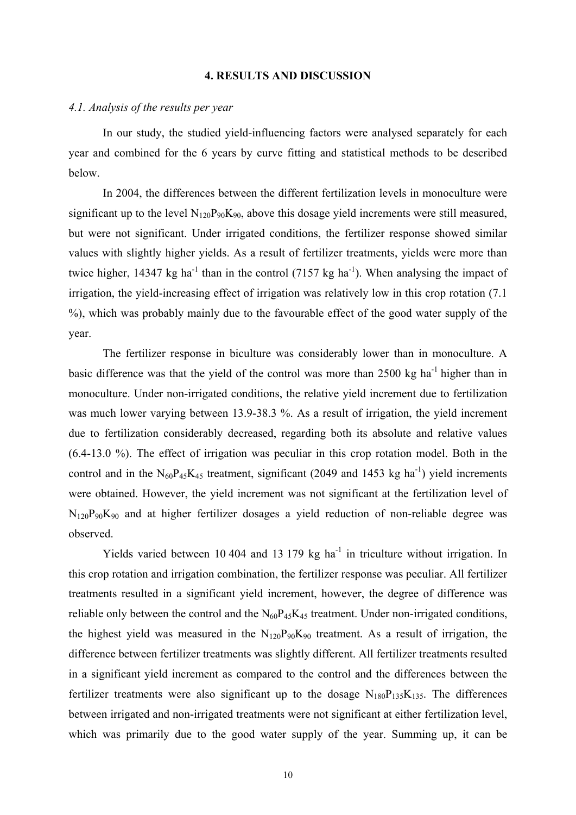#### **4. RESULTS AND DISCUSSION**

### *4.1. Analysis of the results per year*

In our study, the studied yield-influencing factors were analysed separately for each year and combined for the 6 years by curve fitting and statistical methods to be described below.

In 2004, the differences between the different fertilization levels in monoculture were significant up to the level  $N_{120}P_{90}K_{90}$ , above this dosage yield increments were still measured, but were not significant. Under irrigated conditions, the fertilizer response showed similar values with slightly higher yields. As a result of fertilizer treatments, yields were more than twice higher, 14347 kg ha<sup>-1</sup> than in the control (7157 kg ha<sup>-1</sup>). When analysing the impact of irrigation, the yield-increasing effect of irrigation was relatively low in this crop rotation (7.1 %), which was probably mainly due to the favourable effect of the good water supply of the year.

 The fertilizer response in biculture was considerably lower than in monoculture. A basic difference was that the yield of the control was more than  $2500 \text{ kg}$  ha<sup>-1</sup> higher than in monoculture. Under non-irrigated conditions, the relative yield increment due to fertilization was much lower varying between 13.9-38.3 %. As a result of irrigation, the yield increment due to fertilization considerably decreased, regarding both its absolute and relative values (6.4-13.0 %). The effect of irrigation was peculiar in this crop rotation model. Both in the control and in the  $N_{60}P_{45}K_{45}$  treatment, significant (2049 and 1453 kg ha<sup>-1</sup>) yield increments were obtained. However, the yield increment was not significant at the fertilization level of  $N_{120}P_{90}K_{90}$  and at higher fertilizer dosages a yield reduction of non-reliable degree was observed.

Yields varied between 10 404 and 13 179 kg ha<sup>-1</sup> in triculture without irrigation. In this crop rotation and irrigation combination, the fertilizer response was peculiar. All fertilizer treatments resulted in a significant yield increment, however, the degree of difference was reliable only between the control and the  $N_{60}P_{45}K_{45}$  treatment. Under non-irrigated conditions, the highest yield was measured in the  $N_{120}P_{90}K_{90}$  treatment. As a result of irrigation, the difference between fertilizer treatments was slightly different. All fertilizer treatments resulted in a significant yield increment as compared to the control and the differences between the fertilizer treatments were also significant up to the dosage  $N_{180}P_{135}K_{135}$ . The differences between irrigated and non-irrigated treatments were not significant at either fertilization level, which was primarily due to the good water supply of the year. Summing up, it can be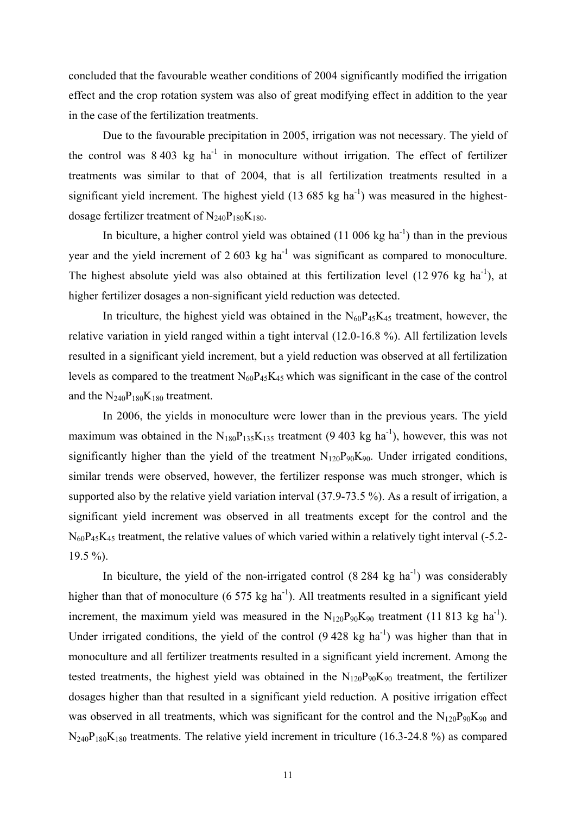concluded that the favourable weather conditions of 2004 significantly modified the irrigation effect and the crop rotation system was also of great modifying effect in addition to the year in the case of the fertilization treatments.

Due to the favourable precipitation in 2005, irrigation was not necessary. The yield of the control was  $8\,403\,$  kg ha<sup>-1</sup> in monoculture without irrigation. The effect of fertilizer treatments was similar to that of 2004, that is all fertilization treatments resulted in a significant yield increment. The highest yield  $(13\,685\,kg\,ha^{-1})$  was measured in the highestdosage fertilizer treatment of  $N_{240}P_{180}K_{180}$ .

In biculture, a higher control yield was obtained  $(11\ 006\ kg\ ha^{-1})$  than in the previous year and the yield increment of 2 603 kg ha<sup>-1</sup> was significant as compared to monoculture. The highest absolute yield was also obtained at this fertilization level  $(12976 \text{ kg ha}^{-1})$ , at higher fertilizer dosages a non-significant yield reduction was detected.

In triculture, the highest yield was obtained in the  $N_{60}P_{45}K_{45}$  treatment, however, the relative variation in yield ranged within a tight interval (12.0-16.8 %). All fertilization levels resulted in a significant yield increment, but a yield reduction was observed at all fertilization levels as compared to the treatment  $N_{60}P_{45}K_{45}$  which was significant in the case of the control and the  $N_{240}P_{180}K_{180}$  treatment.

 In 2006, the yields in monoculture were lower than in the previous years. The yield maximum was obtained in the  $N_{180}P_{135}K_{135}$  treatment (9 403 kg ha<sup>-1</sup>), however, this was not significantly higher than the yield of the treatment  $N_{120}P_{90}K_{90}$ . Under irrigated conditions, similar trends were observed, however, the fertilizer response was much stronger, which is supported also by the relative yield variation interval (37.9-73.5 %). As a result of irrigation, a significant yield increment was observed in all treatments except for the control and the  $N_{60}P_{45}K_{45}$  treatment, the relative values of which varied within a relatively tight interval (-5.2- $19.5 \%$ ).

In biculture, the yield of the non-irrigated control  $(8\ 284\ \text{kg ha}^{-1})$  was considerably higher than that of monoculture  $(6\,575\,kg\,ha^{-1})$ . All treatments resulted in a significant yield increment, the maximum yield was measured in the  $N_{120}P_{90}K_{90}$  treatment (11 813 kg ha<sup>-1</sup>). Under irrigated conditions, the yield of the control  $(9 428 \text{ kg} \text{ ha}^{-1})$  was higher than that in monoculture and all fertilizer treatments resulted in a significant yield increment. Among the tested treatments, the highest yield was obtained in the  $N_{120}P_{90}K_{90}$  treatment, the fertilizer dosages higher than that resulted in a significant yield reduction. A positive irrigation effect was observed in all treatments, which was significant for the control and the  $N_{120}P_{90}K_{90}$  and  $N_{240}P_{180}K_{180}$  treatments. The relative yield increment in triculture (16.3-24.8 %) as compared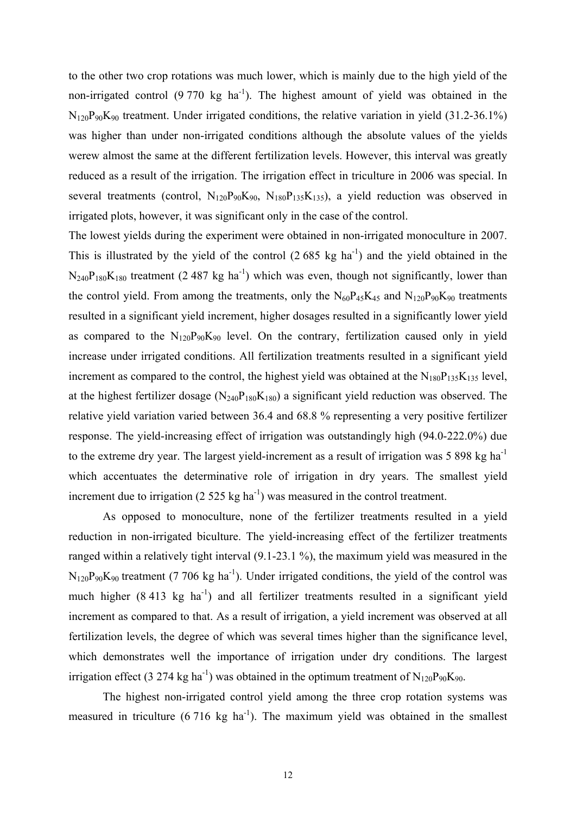to the other two crop rotations was much lower, which is mainly due to the high yield of the non-irrigated control  $(9\ 770 \ \text{kg} \text{ha}^{-1})$ . The highest amount of yield was obtained in the  $N_{120}P_{90}K_{90}$  treatment. Under irrigated conditions, the relative variation in yield (31.2-36.1%) was higher than under non-irrigated conditions although the absolute values of the yields werew almost the same at the different fertilization levels. However, this interval was greatly reduced as a result of the irrigation. The irrigation effect in triculture in 2006 was special. In several treatments (control,  $N_{120}P_{90}K_{90}$ ,  $N_{180}P_{135}K_{135}$ ), a yield reduction was observed in irrigated plots, however, it was significant only in the case of the control.

The lowest yields during the experiment were obtained in non-irrigated monoculture in 2007. This is illustrated by the yield of the control  $(2.685 \text{ kg ha}^{-1})$  and the yield obtained in the  $N_{240}P_{180}K_{180}$  treatment (2.487 kg ha<sup>-1</sup>) which was even, though not significantly, lower than the control yield. From among the treatments, only the  $N_{60}P_{45}K_{45}$  and  $N_{120}P_{90}K_{90}$  treatments resulted in a significant yield increment, higher dosages resulted in a significantly lower yield as compared to the  $N_{120}P_{90}K_{90}$  level. On the contrary, fertilization caused only in yield increase under irrigated conditions. All fertilization treatments resulted in a significant yield increment as compared to the control, the highest yield was obtained at the  $N_{180}P_{135}K_{135}$  level, at the highest fertilizer dosage  $(N_{240}P_{180}K_{180})$  a significant yield reduction was observed. The relative yield variation varied between 36.4 and 68.8 % representing a very positive fertilizer response. The yield-increasing effect of irrigation was outstandingly high (94.0-222.0%) due to the extreme dry year. The largest yield-increment as a result of irrigation was  $5\,898$  kg ha<sup>-1</sup> which accentuates the determinative role of irrigation in dry years. The smallest yield increment due to irrigation (2 525 kg ha<sup>-1</sup>) was measured in the control treatment.

 As opposed to monoculture, none of the fertilizer treatments resulted in a yield reduction in non-irrigated biculture. The yield-increasing effect of the fertilizer treatments ranged within a relatively tight interval (9.1-23.1 %), the maximum yield was measured in the  $N_{120}P_{90}K_{90}$  treatment (7 706 kg ha<sup>-1</sup>). Under irrigated conditions, the yield of the control was much higher  $(8.413 \text{ kg} \text{ ha}^{-1})$  and all fertilizer treatments resulted in a significant yield increment as compared to that. As a result of irrigation, a yield increment was observed at all fertilization levels, the degree of which was several times higher than the significance level, which demonstrates well the importance of irrigation under dry conditions. The largest irrigation effect (3 274 kg ha<sup>-1</sup>) was obtained in the optimum treatment of N<sub>120</sub>P<sub>90</sub>K<sub>90</sub>.

The highest non-irrigated control yield among the three crop rotation systems was measured in triculture  $(6\ 716\ \text{kg ha}^{-1})$ . The maximum yield was obtained in the smallest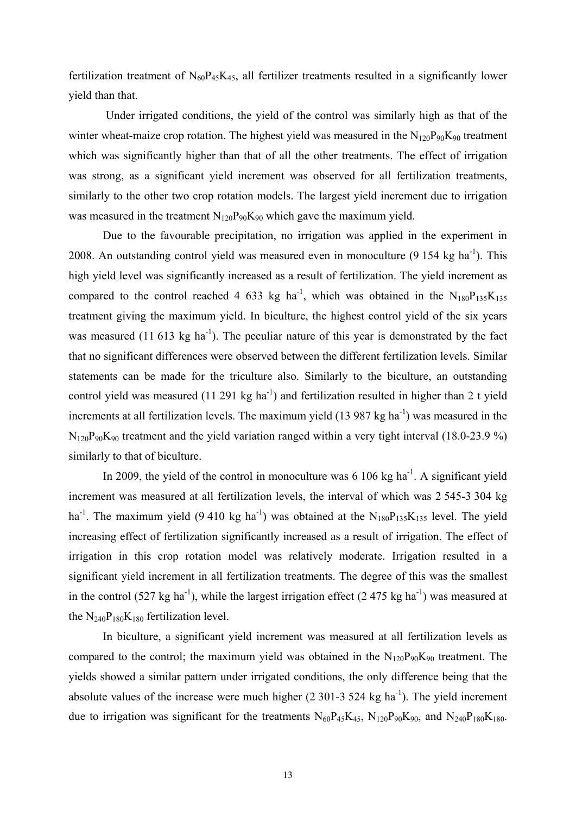fertilization treatment of  $N_{60}P_{45}K_{45}$ , all fertilizer treatments resulted in a significantly lower yield than that.

 Under irrigated conditions, the yield of the control was similarly high as that of the winter wheat-maize crop rotation. The highest yield was measured in the  $N_{120}P_{90}K_{90}$  treatment which was significantly higher than that of all the other treatments. The effect of irrigation was strong, as a significant yield increment was observed for all fertilization treatments, similarly to the other two crop rotation models. The largest yield increment due to irrigation was measured in the treatment  $N_{120}P_{90}K_{90}$  which gave the maximum yield.

Due to the favourable precipitation, no irrigation was applied in the experiment in 2008. An outstanding control yield was measured even in monoculture  $(9\ 154\ kg\ ha^{-1})$ . This high yield level was significantly increased as a result of fertilization. The yield increment as compared to the control reached 4 633 kg ha<sup>-1</sup>, which was obtained in the N<sub>180</sub>P<sub>135</sub>K<sub>135</sub> treatment giving the maximum yield. In biculture, the highest control yield of the six years was measured (11 613 kg ha<sup>-1</sup>). The peculiar nature of this year is demonstrated by the fact that no significant differences were observed between the different fertilization levels. Similar statements can be made for the triculture also. Similarly to the biculture, an outstanding control yield was measured  $(11 291 kg ha<sup>-1</sup>)$  and fertilization resulted in higher than 2 t yield increments at all fertilization levels. The maximum yield  $(13 987 \text{ kg ha}^{-1})$  was measured in the  $N_{120}P_{90}K_{90}$  treatment and the yield variation ranged within a very tight interval (18.0-23.9 %) similarly to that of biculture.

In 2009, the yield of the control in monoculture was  $6\ 106$  kg ha<sup>-1</sup>. A significant yield increment was measured at all fertilization levels, the interval of which was 2 545-3 304 kg ha<sup>-1</sup>. The maximum yield (9.410 kg ha<sup>-1</sup>) was obtained at the  $N_{180}P_{135}K_{135}$  level. The yield increasing effect of fertilization significantly increased as a result of irrigation. The effect of irrigation in this crop rotation model was relatively moderate. Irrigation resulted in a significant yield increment in all fertilization treatments. The degree of this was the smallest in the control (527 kg ha<sup>-1</sup>), while the largest irrigation effect (2.475 kg ha<sup>-1</sup>) was measured at the  $N_{240}P_{180}K_{180}$  fertilization level.

 In biculture, a significant yield increment was measured at all fertilization levels as compared to the control; the maximum yield was obtained in the  $N_{120}P_{90}K_{90}$  treatment. The yields showed a similar pattern under irrigated conditions, the only difference being that the absolute values of the increase were much higher  $(2\,301-3\,524 \text{ kg ha}^{-1})$ . The yield increment due to irrigation was significant for the treatments  $N_{60}P_{45}K_{45}$ ,  $N_{120}P_{90}K_{90}$ , and  $N_{240}P_{180}K_{180}$ .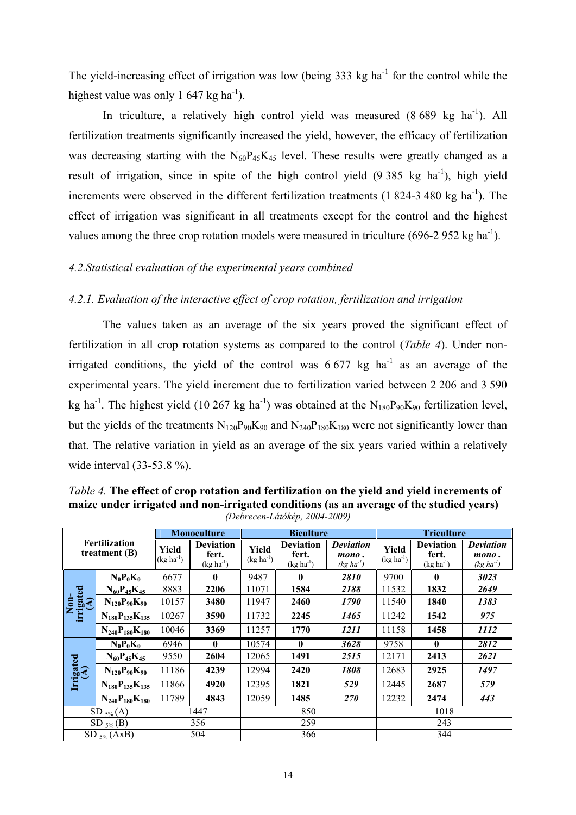The yield-increasing effect of irrigation was low (being  $333 \text{ kg ha}^{-1}$  for the control while the highest value was only 1 647 kg ha<sup>-1</sup>).

In triculture, a relatively high control yield was measured  $(8\,689 \text{ kg} \text{ ha}^{-1})$ . All fertilization treatments significantly increased the yield, however, the efficacy of fertilization was decreasing starting with the  $N_{60}P_{45}K_{45}$  level. These results were greatly changed as a result of irrigation, since in spite of the high control yield  $(9\,385 \text{ kg } \text{ha}^{-1})$ , high yield increments were observed in the different fertilization treatments  $(1\ 824-3\ 480\ \mathrm{kg\ ha}^{-1})$ . The effect of irrigation was significant in all treatments except for the control and the highest values among the three crop rotation models were measured in triculture  $(696-2952 \text{ kg ha}^{-1})$ .

## *4.2.Statistical evaluation of the experimental years combined*

## *4.2.1. Evaluation of the interactive effect of crop rotation, fertilization and irrigation*

The values taken as an average of the six years proved the significant effect of fertilization in all crop rotation systems as compared to the control (*Table 4*). Under nonirrigated conditions, the yield of the control was  $6\,677$  kg ha<sup>-1</sup> as an average of the experimental years. The yield increment due to fertilization varied between 2 206 and 3 590 kg ha<sup>-1</sup>. The highest yield (10 267 kg ha<sup>-1</sup>) was obtained at the N<sub>180</sub>P<sub>90</sub>K<sub>90</sub> fertilization level, but the yields of the treatments  $N_{120}P_{90}K_{90}$  and  $N_{240}P_{180}K_{180}$  were not significantly lower than that. The relative variation in yield as an average of the six years varied within a relatively wide interval (33-53.8 %).

*Table 4.* **The effect of crop rotation and fertilization on the yield and yield increments of maize under irrigated and non-irrigated conditions (as an average of the studied years)**  *(Debrecen-Látókép, 2004-2009)* 

| Fertilization<br>treatment $(B)$ |                         |                         | <b>Monoculture</b>                          | <b>Biculture</b>        |                                             |                                             | <b>Triculture</b>    |                                          |                                             |
|----------------------------------|-------------------------|-------------------------|---------------------------------------------|-------------------------|---------------------------------------------|---------------------------------------------|----------------------|------------------------------------------|---------------------------------------------|
|                                  |                         | Yield<br>$(kg ha^{-1})$ | <b>Deviation</b><br>fert.<br>$(kg ha^{-1})$ | Yield<br>$(kg ha^{-1})$ | <b>Deviation</b><br>fert.<br>$(kg ha^{-1})$ | <b>Deviation</b><br>mono.<br>$(kg ha^{-1})$ | Yield<br>$(kg ha-1)$ | <b>Deviation</b><br>fert.<br>$(kg ha-1)$ | <b>Deviation</b><br>mono.<br>$(kg ha^{-1})$ |
|                                  | $N_0P_0K_0$             | 6677                    | $\mathbf{0}$                                | 9487                    | $\bf{0}$                                    | 2810                                        | 9700                 | $\mathbf{0}$                             | 3023                                        |
|                                  | $N_{60}P_{45}K_{45}$    | 8883                    | 2206                                        | 11071                   | 1584                                        | 2188                                        | 11532                | 1832                                     | 2649                                        |
| Non-<br>irrigated<br>(A)         | $N_{120}P_{90}K_{90}$   | 10157                   | 3480                                        | 11947                   | 2460                                        | 1790                                        | 11540                | 1840                                     | 1383                                        |
|                                  | $N_{180}P_{135}K_{135}$ | 10267                   | 3590                                        | 11732                   | 2245                                        | 1465                                        | 11242                | 1542                                     | 975                                         |
|                                  | $N_{240}P_{180}K_{180}$ | 10046                   | 3369                                        | 11257                   | 1770                                        | 1211                                        | 11158                | 1458                                     | 1112                                        |
|                                  | $N_0P_0K_0$             | 6946                    | $\mathbf{0}$                                | 10574                   | 0                                           | 3628                                        | 9758                 | $\mathbf{0}$                             | 2812                                        |
|                                  | $N_{60}P_{45}K_{45}$    | 9550                    | 2604                                        | 12065                   | 1491                                        | 2515                                        | 12171                | 2413                                     | 2621                                        |
|                                  | $N_{120}P_{90}K_{90}$   | 11186                   | 4239                                        | 12994                   | 2420                                        | 1808                                        | 12683                | 2925                                     | 1497                                        |
| Irrigated<br>(A)                 | $N_{180}P_{135}K_{135}$ | 11866                   | 4920                                        | 12395                   | 1821                                        | 529                                         | 12445                | 2687                                     | 579                                         |
|                                  | $N_{240}P_{180}K_{180}$ | 11789                   | 4843                                        | 12059                   | 1485                                        | <b>270</b>                                  | 12232                | 2474                                     | 443                                         |
| $SD_{5\%}(A)$                    |                         | 1447                    |                                             | 850                     |                                             |                                             | 1018                 |                                          |                                             |
| $SD_{5\%}(B)$                    |                         | 356                     |                                             | 259                     |                                             |                                             | 243                  |                                          |                                             |
| $SD_{5\%}(AxB)$                  |                         |                         | 504                                         |                         | 366                                         |                                             | 344                  |                                          |                                             |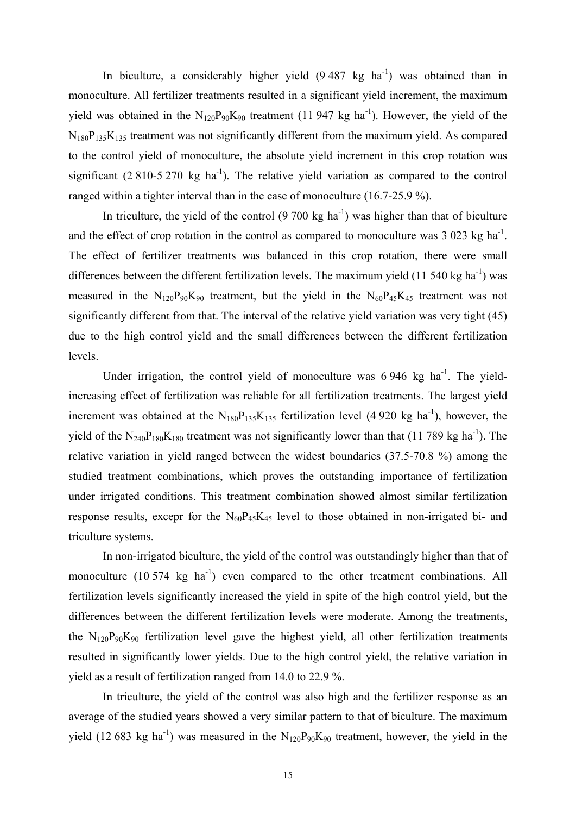In biculture, a considerably higher yield  $(9.487 \text{ kg} \text{ ha}^{-1})$  was obtained than in monoculture. All fertilizer treatments resulted in a significant yield increment, the maximum yield was obtained in the  $N_{120}P_{90}K_{90}$  treatment (11 947 kg ha<sup>-1</sup>). However, the yield of the  $N_{180}P_{135}K_{135}$  treatment was not significantly different from the maximum yield. As compared to the control yield of monoculture, the absolute yield increment in this crop rotation was significant (2 810-5 270 kg ha<sup>-1</sup>). The relative vield variation as compared to the control ranged within a tighter interval than in the case of monoculture (16.7-25.9 %).

In triculture, the yield of the control  $(9, 700 \text{ kg ha}^{-1})$  was higher than that of biculture and the effect of crop rotation in the control as compared to monoculture was  $3\,023$  kg ha<sup>-1</sup>. The effect of fertilizer treatments was balanced in this crop rotation, there were small differences between the different fertilization levels. The maximum yield  $(11\,540\,\text{kg ha}^{-1})$  was measured in the  $N_{120}P_{90}K_{90}$  treatment, but the yield in the  $N_{60}P_{45}K_{45}$  treatment was not significantly different from that. The interval of the relative yield variation was very tight (45) due to the high control yield and the small differences between the different fertilization levels.

Under irrigation, the control yield of monoculture was 6 946 kg ha<sup>-1</sup>. The yieldincreasing effect of fertilization was reliable for all fertilization treatments. The largest yield increment was obtained at the  $N_{180}P_{135}K_{135}$  fertilization level (4 920 kg ha<sup>-1</sup>), however, the yield of the  $N_{240}P_{180}K_{180}$  treatment was not significantly lower than that (11 789 kg ha<sup>-1</sup>). The relative variation in yield ranged between the widest boundaries (37.5-70.8 %) among the studied treatment combinations, which proves the outstanding importance of fertilization under irrigated conditions. This treatment combination showed almost similar fertilization response results, excepr for the  $N_{60}P_{45}K_{45}$  level to those obtained in non-irrigated bi- and triculture systems.

 In non-irrigated biculture, the yield of the control was outstandingly higher than that of monoculture  $(10\,574 \text{ kg} \text{ ha}^{-1})$  even compared to the other treatment combinations. All fertilization levels significantly increased the yield in spite of the high control yield, but the differences between the different fertilization levels were moderate. Among the treatments, the  $N_{120}P_{90}K_{90}$  fertilization level gave the highest yield, all other fertilization treatments resulted in significantly lower yields. Due to the high control yield, the relative variation in yield as a result of fertilization ranged from 14.0 to 22.9 %.

 In triculture, the yield of the control was also high and the fertilizer response as an average of the studied years showed a very similar pattern to that of biculture. The maximum yield (12 683 kg ha<sup>-1</sup>) was measured in the  $N_{120}P_{90}K_{90}$  treatment, however, the yield in the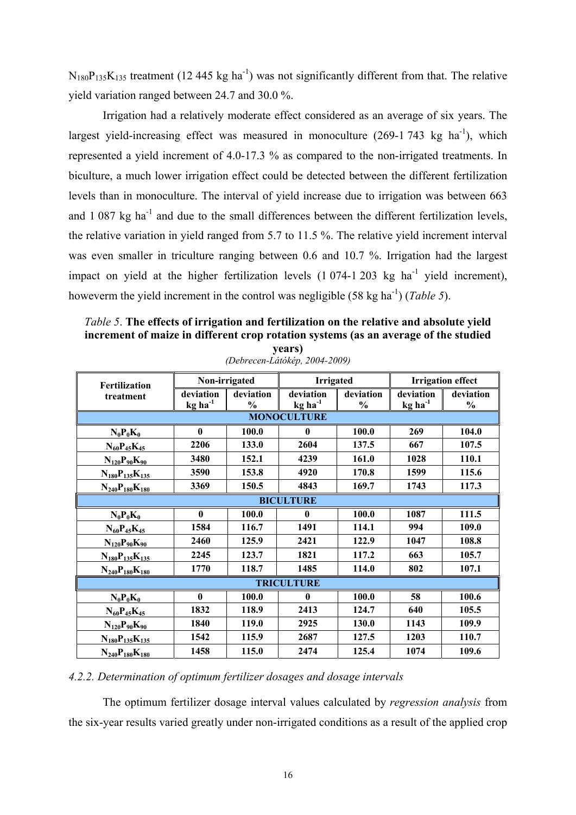$N_{180}P_{135}K_{135}$  treatment (12 445 kg ha<sup>-1</sup>) was not significantly different from that. The relative yield variation ranged between 24.7 and 30.0 %.

 Irrigation had a relatively moderate effect considered as an average of six years. The largest yield-increasing effect was measured in monoculture  $(269-1743 \text{ kg} \text{ ha}^{-1})$ , which represented a yield increment of 4.0-17.3 % as compared to the non-irrigated treatments. In biculture, a much lower irrigation effect could be detected between the different fertilization levels than in monoculture. The interval of yield increase due to irrigation was between 663 and  $1.087$  kg ha<sup>-1</sup> and due to the small differences between the different fertilization levels, the relative variation in yield ranged from 5.7 to 11.5 %. The relative yield increment interval was even smaller in triculture ranging between 0.6 and 10.7 %. Irrigation had the largest impact on yield at the higher fertilization levels  $(1\ 074-1\ 203\ \text{kg ha}^{-1})$  yield increment), howeverm the yield increment in the control was negligible  $(58 \text{ kg ha}^{-1})$  (*Table 5*).

*Table 5*. **The effects of irrigation and fertilization on the relative and absolute yield increment of maize in different crop rotation systems (as an average of the studied years)**

| <b>Fertilization</b>    |                                               | Non-irrigated     | <b>Irrigated</b>                   |                            | <b>Irrigation effect</b>                      |                            |  |  |
|-------------------------|-----------------------------------------------|-------------------|------------------------------------|----------------------------|-----------------------------------------------|----------------------------|--|--|
| treatment               | deviation<br>$kg$ <sub>ha</sub> <sup>-1</sup> | deviation<br>$\%$ | deviation<br>$kg$ ha <sup>-1</sup> | deviation<br>$\frac{0}{0}$ | deviation<br>$kg$ <sub>ha</sub> <sup>-1</sup> | deviation<br>$\frac{0}{0}$ |  |  |
|                         | <b>MONOCULTURE</b>                            |                   |                                    |                            |                                               |                            |  |  |
| $N_0P_0K_0$             | $\bf{0}$                                      | 100.0             | $\mathbf{0}$                       | 100.0                      | 269                                           | 104.0                      |  |  |
| $N_{60}P_{45}K_{45}$    | 2206                                          | 133.0             | 2604                               | 137.5                      | 667                                           | 107.5                      |  |  |
| $N_{120}P_{90}K_{90}$   | 3480                                          | 152.1             | 4239                               | 161.0                      | 1028                                          | 110.1                      |  |  |
| $N_{180}P_{135}K_{135}$ | 3590                                          | 153.8             | 4920                               | 170.8                      | 1599                                          | 115.6                      |  |  |
| $N_{240}P_{180}K_{180}$ | 3369                                          | 150.5             | 4843                               | 169.7                      | 1743                                          | 117.3                      |  |  |
| <b>BICULTURE</b>        |                                               |                   |                                    |                            |                                               |                            |  |  |
| $N_0P_0K_0$             | $\mathbf{0}$                                  | 100.0             | $\mathbf{0}$                       | 100.0                      | 1087                                          | 111.5                      |  |  |
| $N_{60}P_{45}K_{45}$    | 1584                                          | 116.7             | 1491                               | 114.1                      | 994                                           | 109.0                      |  |  |
| $N_{120}P_{90}K_{90}$   | 2460                                          | 125.9             | 2421                               | 122.9                      | 1047                                          | 108.8                      |  |  |
| $N_{180}P_{135}K_{135}$ | 2245                                          | 123.7             | 1821                               | 117.2                      | 663                                           | 105.7                      |  |  |
| $N_{240}P_{180}K_{180}$ | 1770                                          | 118.7             | 1485                               | 114.0                      | 802                                           | 107.1                      |  |  |
| <b>TRICULTURE</b>       |                                               |                   |                                    |                            |                                               |                            |  |  |
| $N_0P_0K_0$             | $\mathbf{0}$                                  | 100.0             | $\mathbf{0}$                       | 100.0                      | 58                                            | 100.6                      |  |  |
| $N_{60}P_{45}K_{45}$    | 1832                                          | 118.9             | 2413                               | 124.7                      | 640                                           | 105.5                      |  |  |
| $N_{120}P_{90}K_{90}$   | 1840                                          | 119.0             | 2925                               | 130.0                      | 1143                                          | 109.9                      |  |  |
| $N_{180}P_{135}K_{135}$ | 1542                                          | 115.9             | 2687                               | 127.5                      | 1203                                          | 110.7                      |  |  |
| $N_{240}P_{180}K_{180}$ | 1458                                          | 115.0             | 2474                               | 125.4                      | 1074                                          | 109.6                      |  |  |

*(Debrecen-Látókép, 2004-2009)* 

## *4.2.2. Determination of optimum fertilizer dosages and dosage intervals*

The optimum fertilizer dosage interval values calculated by *regression analysis* from the six-year results varied greatly under non-irrigated conditions as a result of the applied crop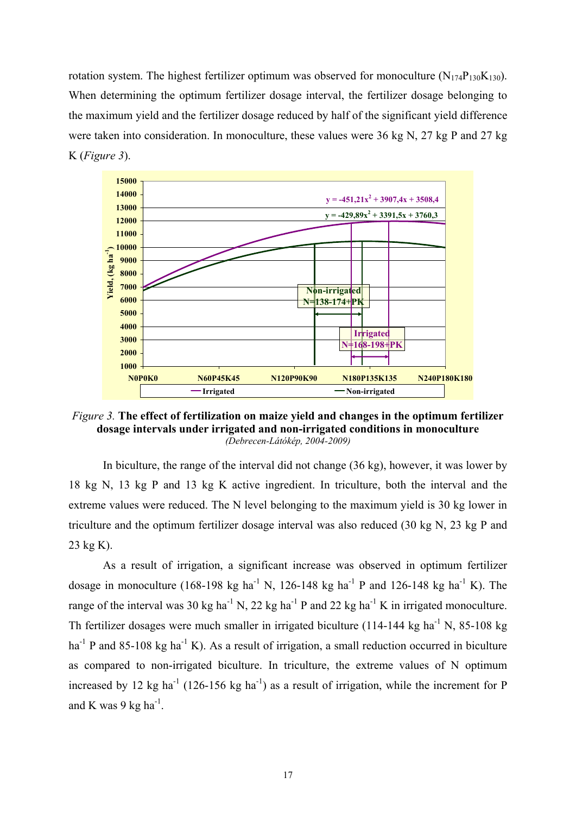rotation system. The highest fertilizer optimum was observed for monoculture  $(N_{174}P_{130}K_{130})$ . When determining the optimum fertilizer dosage interval, the fertilizer dosage belonging to the maximum yield and the fertilizer dosage reduced by half of the significant yield difference were taken into consideration. In monoculture, these values were 36 kg N, 27 kg P and 27 kg K (*Figure 3*).



*Figure 3.* **The effect of fertilization on maize yield and changes in the optimum fertilizer dosage intervals under irrigated and non-irrigated conditions in monoculture**  *(Debrecen-Látókép, 2004-2009)*

In biculture, the range of the interval did not change (36 kg), however, it was lower by 18 kg N, 13 kg P and 13 kg K active ingredient. In triculture, both the interval and the extreme values were reduced. The N level belonging to the maximum yield is 30 kg lower in triculture and the optimum fertilizer dosage interval was also reduced (30 kg N, 23 kg P and 23 kg K).

As a result of irrigation, a significant increase was observed in optimum fertilizer dosage in monoculture (168-198 kg ha<sup>-1</sup> N, 126-148 kg ha<sup>-1</sup> P and 126-148 kg ha<sup>-1</sup> K). The range of the interval was 30 kg ha<sup>-1</sup> N, 22 kg ha<sup>-1</sup> P and 22 kg ha<sup>-1</sup> K in irrigated monoculture. Th fertilizer dosages were much smaller in irrigated biculture (114-144 kg ha<sup>-1</sup> N, 85-108 kg  $ha^{-1}$  P and 85-108 kg  $ha^{-1}$  K). As a result of irrigation, a small reduction occurred in biculture as compared to non-irrigated biculture. In triculture, the extreme values of N optimum increased by 12 kg ha<sup>-1</sup> (126-156 kg ha<sup>-1</sup>) as a result of irrigation, while the increment for P and K was 9 kg ha $^{-1}$ .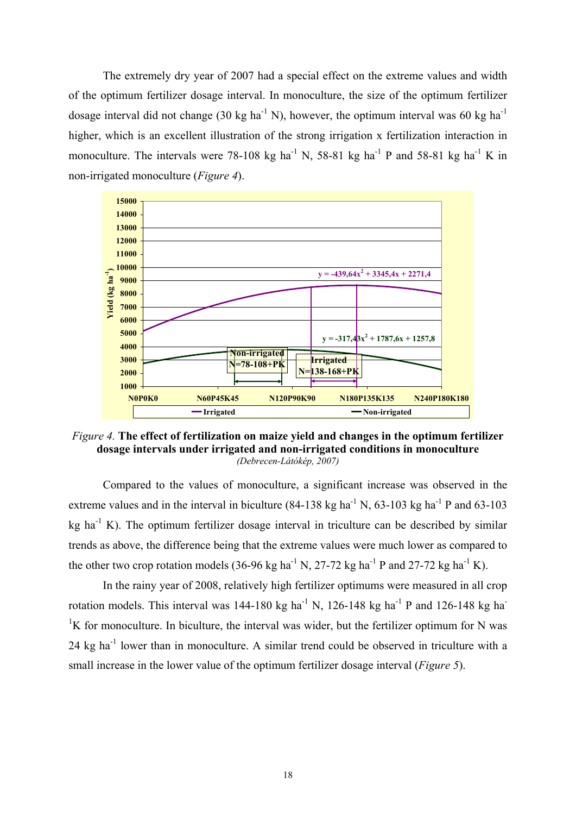The extremely dry year of 2007 had a special effect on the extreme values and width of the optimum fertilizer dosage interval. In monoculture, the size of the optimum fertilizer dosage interval did not change (30 kg ha<sup>-1</sup> N), however, the optimum interval was 60 kg ha<sup>-1</sup> higher, which is an excellent illustration of the strong irrigation x fertilization interaction in monoculture. The intervals were 78-108 kg ha<sup>-1</sup> N, 58-81 kg ha<sup>-1</sup> P and 58-81 kg ha<sup>-1</sup> K in non-irrigated monoculture (*Figure 4*).



*Figure 4.* **The effect of fertilization on maize yield and changes in the optimum fertilizer dosage intervals under irrigated and non-irrigated conditions in monoculture**  *(Debrecen-Látókép, 2007)* 

Compared to the values of monoculture, a significant increase was observed in the extreme values and in the interval in biculture  $(84-138 \text{ kg ha}^{-1} \text{ N}, 63-103 \text{ kg ha}^{-1} \text{ P}$  and  $63-103$ kg ha $^{-1}$  K). The optimum fertilizer dosage interval in triculture can be described by similar trends as above, the difference being that the extreme values were much lower as compared to the other two crop rotation models (36-96 kg ha<sup>-1</sup> N, 27-72 kg ha<sup>-1</sup> P and 27-72 kg ha<sup>-1</sup> K).

 In the rainy year of 2008, relatively high fertilizer optimums were measured in all crop rotation models. This interval was  $144-180 \text{ kg}$  ha<sup>-1</sup> N,  $126-148 \text{ kg}$  ha<sup>-1</sup> P and  $126-148 \text{ kg}$  ha<sup>-1</sup> <sup>1</sup>K for monoculture. In biculture, the interval was wider, but the fertilizer optimum for N was 24 kg ha-1 lower than in monoculture. A similar trend could be observed in triculture with a small increase in the lower value of the optimum fertilizer dosage interval (*Figure 5*).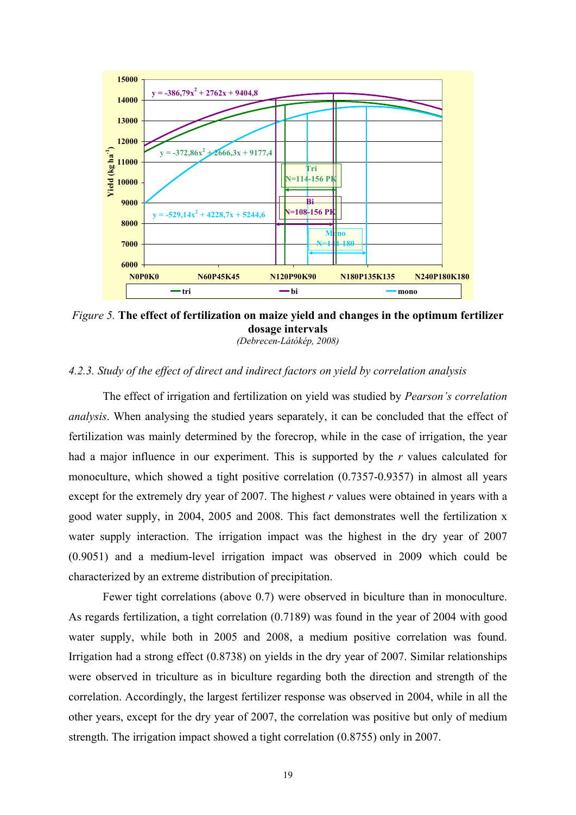

*Figure 5.* **The effect of fertilization on maize yield and changes in the optimum fertilizer dosage intervals** 

*(Debrecen-Látókép, 2008)* 

## *4.2.3. Study of the effect of direct and indirect factors on yield by correlation analysis*

The effect of irrigation and fertilization on yield was studied by *Pearson's correlation analysis*. When analysing the studied years separately, it can be concluded that the effect of fertilization was mainly determined by the forecrop, while in the case of irrigation, the year had a major influence in our experiment. This is supported by the *r* values calculated for monoculture, which showed a tight positive correlation (0.7357-0.9357) in almost all years except for the extremely dry year of 2007. The highest *r* values were obtained in years with a good water supply, in 2004, 2005 and 2008. This fact demonstrates well the fertilization x water supply interaction. The irrigation impact was the highest in the dry year of 2007 (0.9051) and a medium-level irrigation impact was observed in 2009 which could be characterized by an extreme distribution of precipitation.

Fewer tight correlations (above 0.7) were observed in biculture than in monoculture. As regards fertilization, a tight correlation (0.7189) was found in the year of 2004 with good water supply, while both in 2005 and 2008, a medium positive correlation was found. Irrigation had a strong effect (0.8738) on yields in the dry year of 2007. Similar relationships were observed in triculture as in biculture regarding both the direction and strength of the correlation. Accordingly, the largest fertilizer response was observed in 2004, while in all the other years, except for the dry year of 2007, the correlation was positive but only of medium strength. The irrigation impact showed a tight correlation (0.8755) only in 2007.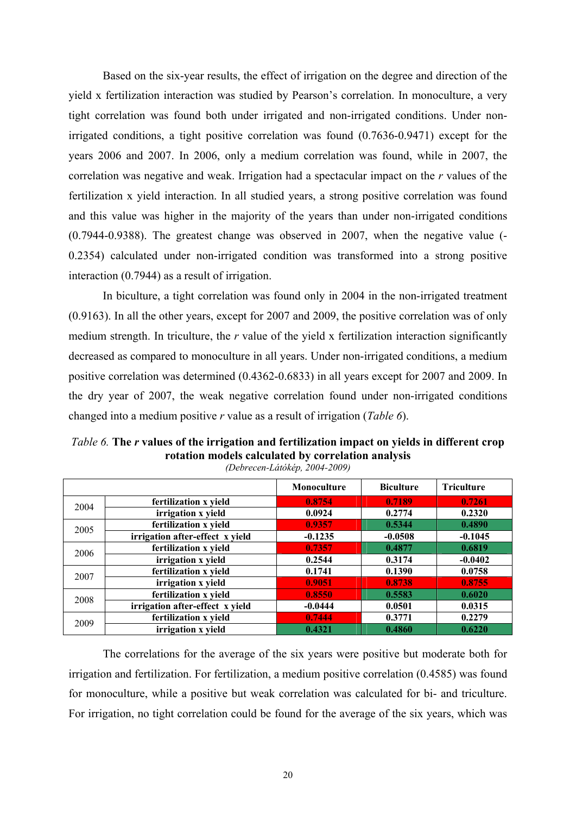Based on the six-year results, the effect of irrigation on the degree and direction of the yield x fertilization interaction was studied by Pearson's correlation. In monoculture, a very tight correlation was found both under irrigated and non-irrigated conditions. Under nonirrigated conditions, a tight positive correlation was found (0.7636-0.9471) except for the years 2006 and 2007. In 2006, only a medium correlation was found, while in 2007, the correlation was negative and weak. Irrigation had a spectacular impact on the *r* values of the fertilization x yield interaction. In all studied years, a strong positive correlation was found and this value was higher in the majority of the years than under non-irrigated conditions (0.7944-0.9388). The greatest change was observed in 2007, when the negative value (- 0.2354) calculated under non-irrigated condition was transformed into a strong positive interaction (0.7944) as a result of irrigation.

In biculture, a tight correlation was found only in 2004 in the non-irrigated treatment (0.9163). In all the other years, except for 2007 and 2009, the positive correlation was of only medium strength. In triculture, the *r* value of the yield x fertilization interaction significantly decreased as compared to monoculture in all years. Under non-irrigated conditions, a medium positive correlation was determined (0.4362-0.6833) in all years except for 2007 and 2009. In the dry year of 2007, the weak negative correlation found under non-irrigated conditions changed into a medium positive *r* value as a result of irrigation (*Table 6*).

| Totation models careamica by correlation amarysis<br>(Debrecen-Látókép, 2004-2009) |                                 |             |                  |                   |  |  |  |
|------------------------------------------------------------------------------------|---------------------------------|-------------|------------------|-------------------|--|--|--|
|                                                                                    |                                 | Monoculture | <b>Biculture</b> | <b>Triculture</b> |  |  |  |
| 2004                                                                               | fertilization x yield           | 0.8754      | 0.7189           | 0.7261            |  |  |  |
|                                                                                    | irrigation x yield              | 0.0924      | 0.2774           | 0.2320            |  |  |  |
| 2005                                                                               | fertilization x yield           | 0.9357      | 0.5344           | 0.4890            |  |  |  |
|                                                                                    | irrigation after-effect x yield | $-0.1235$   | $-0.0508$        | $-0.1045$         |  |  |  |
| 2006                                                                               | fertilization x yield           | 0.7357      | 0.4877           | 0.6819            |  |  |  |
|                                                                                    | irrigation x yield              | 0.2544      | 0.3174           | $-0.0402$         |  |  |  |
| 2007                                                                               | fertilization x yield           | 0.1741      | 0.1390           | 0.0758            |  |  |  |
|                                                                                    | irrigation x yield              | 0.9051      | 0.8738           | 0.8755            |  |  |  |
| 2008                                                                               | fertilization x yield           | 0.8550      | 0.5583           | 0.6020            |  |  |  |
|                                                                                    | irrigation after-effect x yield | $-0.0444$   | 0.0501           | 0.0315            |  |  |  |
| 2009                                                                               | fertilization x yield           | 0.7444      | 0.3771           | 0.2279            |  |  |  |
|                                                                                    | irrigation x yield              | 0.4321      | 0.4860           | 0.6220            |  |  |  |

*Table 6.* **The** *r* **values of the irrigation and fertilization impact on yields in different crop rotation models calculated by correlation analysis**

The correlations for the average of the six years were positive but moderate both for irrigation and fertilization. For fertilization, a medium positive correlation (0.4585) was found for monoculture, while a positive but weak correlation was calculated for bi- and triculture. For irrigation, no tight correlation could be found for the average of the six years, which was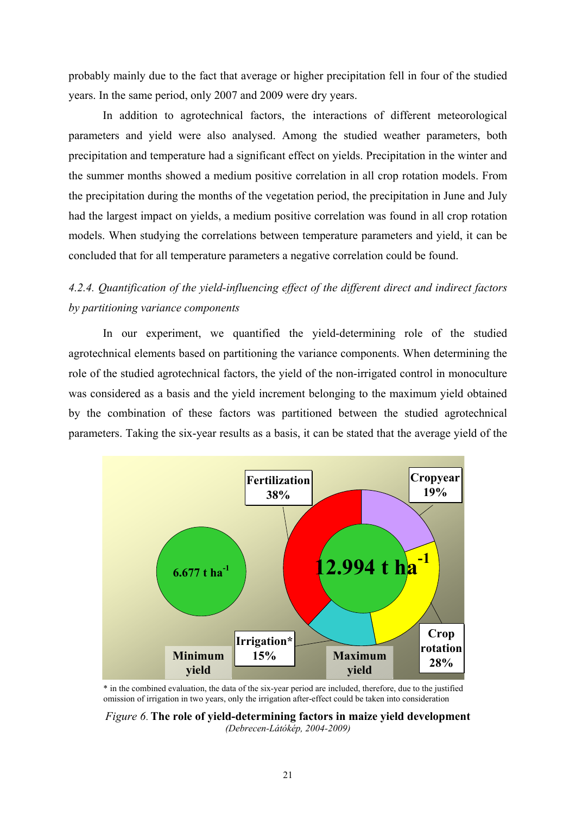probably mainly due to the fact that average or higher precipitation fell in four of the studied years. In the same period, only 2007 and 2009 were dry years.

In addition to agrotechnical factors, the interactions of different meteorological parameters and yield were also analysed. Among the studied weather parameters, both precipitation and temperature had a significant effect on yields. Precipitation in the winter and the summer months showed a medium positive correlation in all crop rotation models. From the precipitation during the months of the vegetation period, the precipitation in June and July had the largest impact on yields, a medium positive correlation was found in all crop rotation models. When studying the correlations between temperature parameters and yield, it can be concluded that for all temperature parameters a negative correlation could be found.

# *4.2.4. Quantification of the yield-influencing effect of the different direct and indirect factors by partitioning variance components*

In our experiment, we quantified the yield-determining role of the studied agrotechnical elements based on partitioning the variance components. When determining the role of the studied agrotechnical factors, the yield of the non-irrigated control in monoculture was considered as a basis and the yield increment belonging to the maximum yield obtained by the combination of these factors was partitioned between the studied agrotechnical parameters. Taking the six-year results as a basis, it can be stated that the average yield of the



\* in the combined evaluation, the data of the six-year period are included, therefore, due to the justified omission of irrigation in two years, only the irrigation after-effect could be taken into consideration

*Figure 6*. **The role of yield-determining factors in maize yield development**  *(Debrecen-Látókép, 2004-2009)*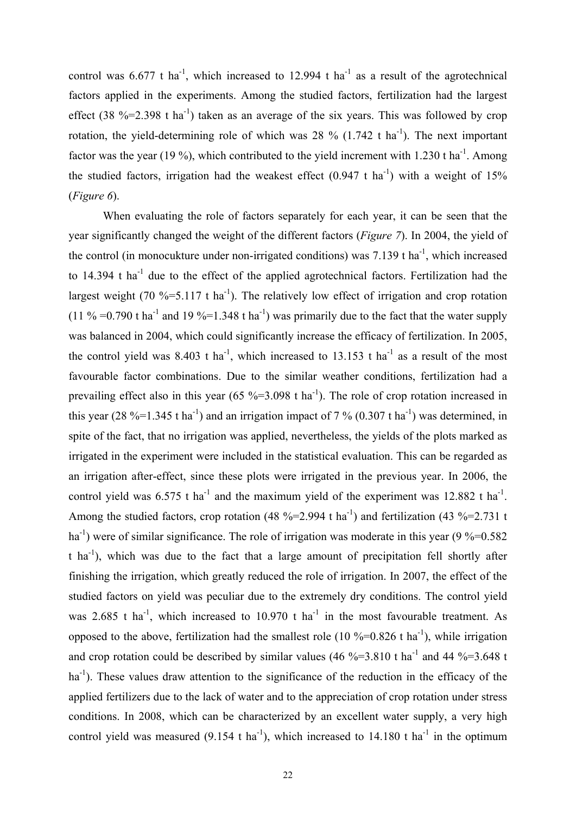control was  $6.677$  t ha<sup>-1</sup>, which increased to 12.994 t ha<sup>-1</sup> as a result of the agrotechnical factors applied in the experiments. Among the studied factors, fertilization had the largest effect (38 %=2.398 t ha<sup>-1</sup>) taken as an average of the six years. This was followed by crop rotation, the yield-determining role of which was 28  $\%$  (1.742 t ha<sup>-1</sup>). The next important factor was the year (19 %), which contributed to the yield increment with 1.230 t ha<sup>-1</sup>. Among the studied factors, irrigation had the weakest effect  $(0.947 \text{ t ha}^{-1})$  with a weight of 15% (*Figure 6*).

When evaluating the role of factors separately for each year, it can be seen that the year significantly changed the weight of the different factors (*Figure 7*). In 2004, the yield of the control (in monocukture under non-irrigated conditions) was  $7.139$  t ha<sup>-1</sup>, which increased to  $14.394$  t ha<sup>-1</sup> due to the effect of the applied agrotechnical factors. Fertilization had the largest weight (70 %=5.117 t ha<sup>-1</sup>). The relatively low effect of irrigation and crop rotation (11 % =0.790 t ha<sup>-1</sup> and 19 %=1.348 t ha<sup>-1</sup>) was primarily due to the fact that the water supply was balanced in 2004, which could significantly increase the efficacy of fertilization. In 2005, the control yield was  $8.403$  t ha<sup>-1</sup>, which increased to 13.153 t ha<sup>-1</sup> as a result of the most favourable factor combinations. Due to the similar weather conditions, fertilization had a prevailing effect also in this year  $(65\text{ %} = 3.098 \text{ t ha}^{-1})$ . The role of crop rotation increased in this year (28 %=1.345 t ha<sup>-1</sup>) and an irrigation impact of 7 % (0.307 t ha<sup>-1</sup>) was determined, in spite of the fact, that no irrigation was applied, nevertheless, the yields of the plots marked as irrigated in the experiment were included in the statistical evaluation. This can be regarded as an irrigation after-effect, since these plots were irrigated in the previous year. In 2006, the control yield was  $6.575$  t ha<sup>-1</sup> and the maximum yield of the experiment was 12.882 t ha<sup>-1</sup>. Among the studied factors, crop rotation (48 %=2.994 t ha<sup>-1</sup>) and fertilization (43 %=2.731 t ha<sup>-1</sup>) were of similar significance. The role of irrigation was moderate in this year (9 %=0.582) t ha<sup>-1</sup>), which was due to the fact that a large amount of precipitation fell shortly after finishing the irrigation, which greatly reduced the role of irrigation. In 2007, the effect of the studied factors on yield was peculiar due to the extremely dry conditions. The control yield was 2.685 t ha<sup>-1</sup>, which increased to 10.970 t ha<sup>-1</sup> in the most favourable treatment. As opposed to the above, fertilization had the smallest role (10 %=0.826 t ha<sup>-1</sup>), while irrigation and crop rotation could be described by similar values (46 %=3.810 t ha<sup>-1</sup> and 44 %=3.648 t  $ha^{-1}$ ). These values draw attention to the significance of the reduction in the efficacy of the applied fertilizers due to the lack of water and to the appreciation of crop rotation under stress conditions. In 2008, which can be characterized by an excellent water supply, a very high control yield was measured (9.154 t ha<sup>-1</sup>), which increased to 14.180 t ha<sup>-1</sup> in the optimum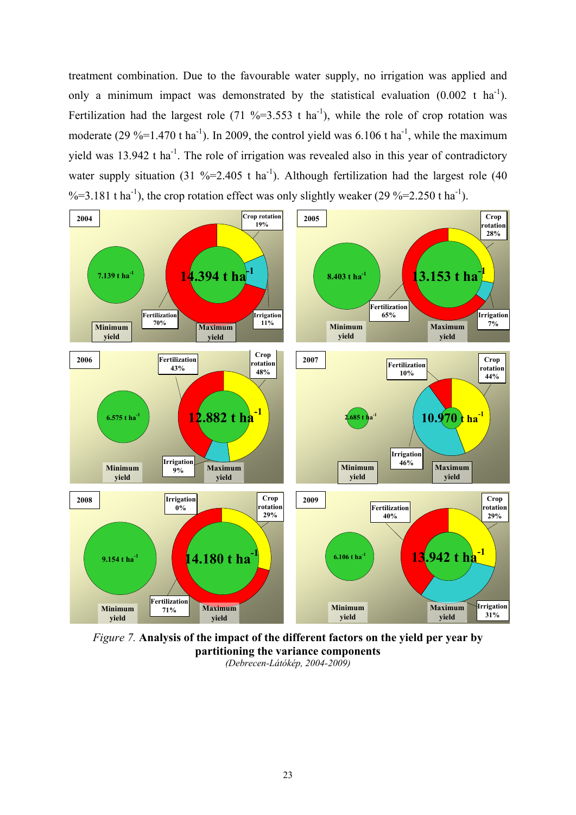treatment combination. Due to the favourable water supply, no irrigation was applied and only a minimum impact was demonstrated by the statistical evaluation  $(0.002 \text{ t} \text{ ha}^{-1})$ . Fertilization had the largest role (71 %=3.553 t ha<sup>-1</sup>), while the role of crop rotation was moderate (29 %=1.470 t ha<sup>-1</sup>). In 2009, the control yield was  $6.106$  t ha<sup>-1</sup>, while the maximum yield was 13.942 t ha<sup>-1</sup>. The role of irrigation was revealed also in this year of contradictory water supply situation (31 %=2.405 t ha<sup>-1</sup>). Although fertilization had the largest role (40  $\% = 3.181$  t ha<sup>-1</sup>), the crop rotation effect was only slightly weaker (29  $\% = 2.250$  t ha<sup>-1</sup>).



*Figure 7.* **Analysis of the impact of the different factors on the yield per year by partitioning the variance components**  *(Debrecen-Látókép, 2004-2009)*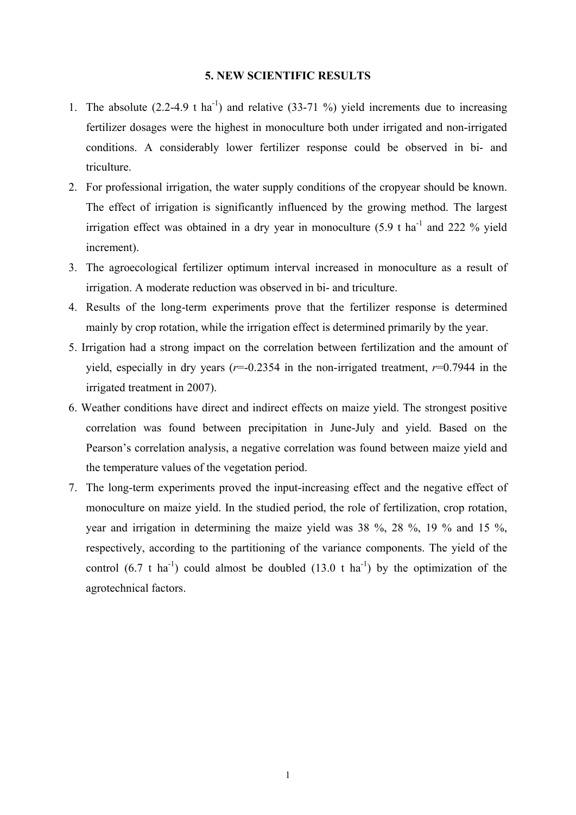## **5. NEW SCIENTIFIC RESULTS**

- 1. The absolute  $(2.2-4.9 \text{ t ha}^{-1})$  and relative  $(33-71\%)$  yield increments due to increasing fertilizer dosages were the highest in monoculture both under irrigated and non-irrigated conditions. A considerably lower fertilizer response could be observed in bi- and triculture.
- 2. For professional irrigation, the water supply conditions of the cropyear should be known. The effect of irrigation is significantly influenced by the growing method. The largest irrigation effect was obtained in a dry year in monoculture  $(5.9 \text{ t} \text{ ha}^{-1}$  and 222 % yield increment).
- 3. The agroecological fertilizer optimum interval increased in monoculture as a result of irrigation. A moderate reduction was observed in bi- and triculture.
- 4. Results of the long-term experiments prove that the fertilizer response is determined mainly by crop rotation, while the irrigation effect is determined primarily by the year.
- 5. Irrigation had a strong impact on the correlation between fertilization and the amount of yield, especially in dry years  $(r=0.2354$  in the non-irrigated treatment,  $r=0.7944$  in the irrigated treatment in 2007).
- 6. Weather conditions have direct and indirect effects on maize yield. The strongest positive correlation was found between precipitation in June-July and yield. Based on the Pearson's correlation analysis, a negative correlation was found between maize yield and the temperature values of the vegetation period.
- 7. The long-term experiments proved the input-increasing effect and the negative effect of monoculture on maize yield. In the studied period, the role of fertilization, crop rotation, year and irrigation in determining the maize yield was 38 %, 28 %, 19 % and 15 %, respectively, according to the partitioning of the variance components. The yield of the control  $(6.7 \text{ t} \text{ ha}^{-1})$  could almost be doubled  $(13.0 \text{ t} \text{ ha}^{-1})$  by the optimization of the agrotechnical factors.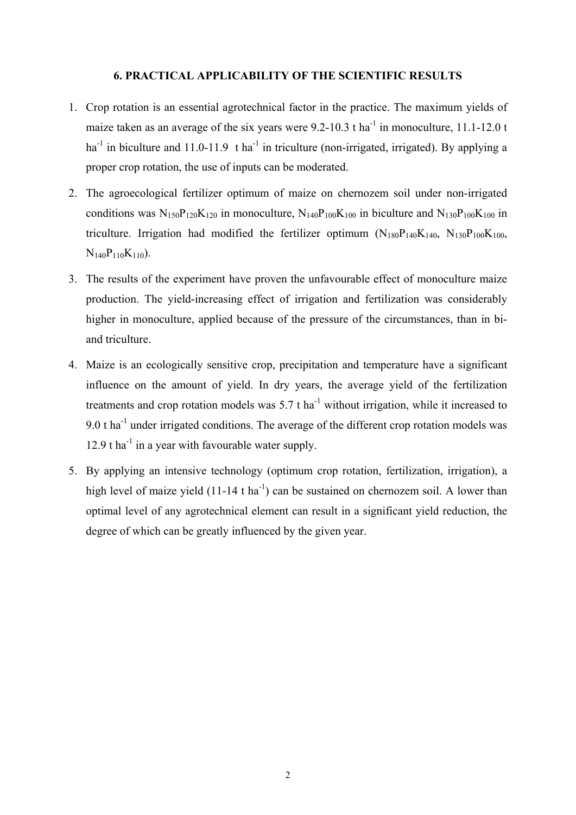### **6. PRACTICAL APPLICABILITY OF THE SCIENTIFIC RESULTS**

- 1. Crop rotation is an essential agrotechnical factor in the practice. The maximum yields of maize taken as an average of the six years were  $9.2$ -10.3 t ha<sup>-1</sup> in monoculture, 11.1-12.0 t ha<sup>-1</sup> in biculture and 11.0-11.9 t ha<sup>-1</sup> in triculture (non-irrigated, irrigated). By applying a proper crop rotation, the use of inputs can be moderated.
- 2. The agroecological fertilizer optimum of maize on chernozem soil under non-irrigated conditions was  $N_{150}P_{120}K_{120}$  in monoculture,  $N_{140}P_{100}K_{100}$  in biculture and  $N_{130}P_{100}K_{100}$  in triculture. Irrigation had modified the fertilizer optimum  $(N_{180}P_{140}K_{140}$ ,  $N_{130}P_{100}K_{100}$ ,  $N_{140}P_{110}K_{110}$ .
- 3. The results of the experiment have proven the unfavourable effect of monoculture maize production. The yield-increasing effect of irrigation and fertilization was considerably higher in monoculture, applied because of the pressure of the circumstances, than in biand triculture.
- 4. Maize is an ecologically sensitive crop, precipitation and temperature have a significant influence on the amount of yield. In dry years, the average yield of the fertilization treatments and crop rotation models was  $5.7$  t ha<sup>-1</sup> without irrigation, while it increased to 9.0  $t$  ha<sup>-1</sup> under irrigated conditions. The average of the different crop rotation models was 12.9 t  $ha^{-1}$  in a year with favourable water supply.
- 5. By applying an intensive technology (optimum crop rotation, fertilization, irrigation), a high level of maize yield  $(11-14 \text{ t ha}^{-1})$  can be sustained on chernozem soil. A lower than optimal level of any agrotechnical element can result in a significant yield reduction, the degree of which can be greatly influenced by the given year.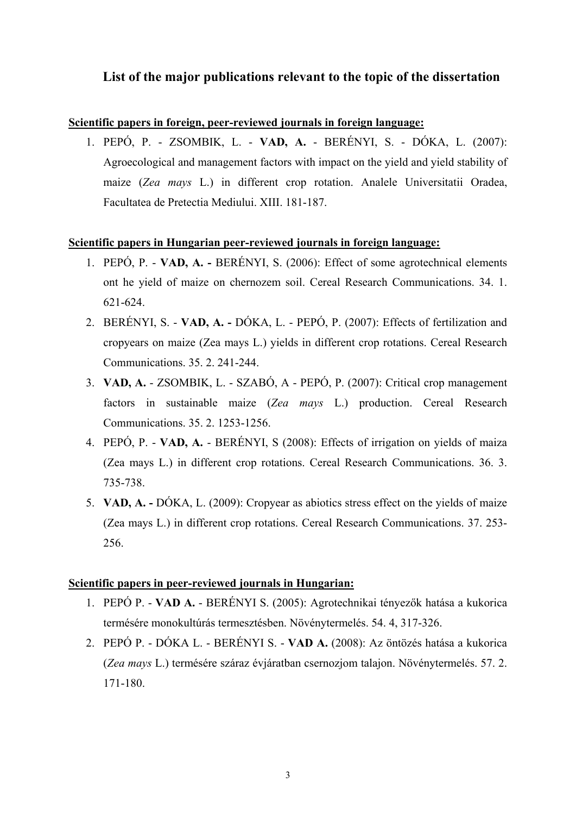# **List of the major publications relevant to the topic of the dissertation**

## **Scientific papers in foreign, peer-reviewed journals in foreign language:**

1. PEPÓ, P. - ZSOMBIK, L. - **VAD, A.** - BERÉNYI, S. - DÓKA, L. (2007): Agroecological and management factors with impact on the yield and yield stability of maize (*Zea mays* L.) in different crop rotation. Analele Universitatii Oradea, Facultatea de Pretectia Mediului. XIII. 181-187.

## **Scientific papers in Hungarian peer-reviewed journals in foreign language:**

- 1. PEPÓ, P. **VAD, A. -** BERÉNYI, S. (2006): Effect of some agrotechnical elements ont he yield of maize on chernozem soil. Cereal Research Communications. 34. 1. 621-624.
- 2. BERÉNYI, S. **VAD, A. -** DÓKA, L. PEPÓ, P. (2007): Effects of fertilization and cropyears on maize (Zea mays L.) yields in different crop rotations. Cereal Research Communications. 35. 2. 241-244.
- 3. **VAD, A.** ZSOMBIK, L. SZABÓ, A PEPÓ, P. (2007): Critical crop management factors in sustainable maize (*Zea mays* L.) production. Cereal Research Communications. 35. 2. 1253-1256.
- 4. PEPÓ, P. **VAD, A.** BERÉNYI, S (2008): Effects of irrigation on yields of maiza (Zea mays L.) in different crop rotations. Cereal Research Communications. 36. 3. 735-738.
- 5. **VAD, A.** DÓKA, L. (2009): Cropyear as abiotics stress effect on the yields of maize (Zea mays L.) in different crop rotations. Cereal Research Communications. 37. 253- 256.

## **Scientific papers in peer-reviewed journals in Hungarian:**

- 1. PEPÓ P. **VAD A.**  BERÉNYI S. (2005): Agrotechnikai tényezők hatása a kukorica termésére monokultúrás termesztésben. Növénytermelés. 54. 4, 317-326.
- 2. PEPÓ P. DÓKA L. BERÉNYI S. **VAD A.** (2008): Az öntözés hatása a kukorica (*Zea mays* L.) termésére száraz évjáratban csernozjom talajon. Növénytermelés. 57. 2. 171-180.